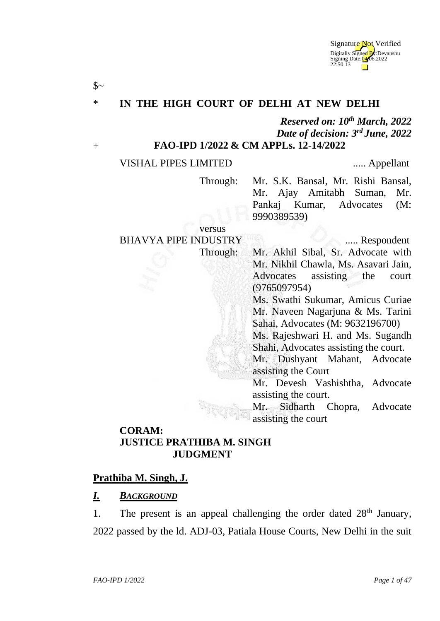*FAO-IPD 1/2022 Page 1 of 47*

# Digitally Si<del>gned By</del>:Devanshu<br>Signing Date: 04.06.2022<br>22:50:13 Signature Not Verified

## \* **IN THE HIGH COURT OF DELHI AT NEW DELHI**

#### *Reserved on: 10th March, 2022 Date of decision: 3 rd June, 2022* + **FAO-IPD 1/2022 & CM APPLs. 12-14/2022**

## VISHAL PIPES LIMITED ...... Appellant

 $\mathcal{S}$ ~

Through: Mr. S.K. Bansal, Mr. Rishi Bansal, Mr. Ajay Amitabh Suman, Mr. Pankaj Kumar, Advocates (M: 9990389539)

#### versus BHAVYA PIPE INDUSTRY ...... Respondent

Through: Mr. Akhil Sibal, Sr. Advocate with Mr. Nikhil Chawla, Ms. Asavari Jain,

Advocates assisting the court (9765097954) Ms. Swathi Sukumar, Amicus Curiae

Mr. Naveen Nagarjuna & Ms. Tarini Sahai, Advocates (M: 9632196700)

Ms. Rajeshwari H. and Ms. Sugandh Shahi, Advocates assisting the court.

Mr. Dushyant Mahant, Advocate assisting the Court

Mr. Devesh Vashishtha, Advocate assisting the court.

Mr. Sidharth Chopra, Advocate assisting the court

#### **CORAM: JUSTICE PRATHIBA M. SINGH JUDGMENT**

## **Prathiba M. Singh, J.**

## *I. BACKGROUND*

1. The present is an appeal challenging the order dated  $28<sup>th</sup>$  January, 2022 passed by the ld. ADJ-03, Patiala House Courts, New Delhi in the suit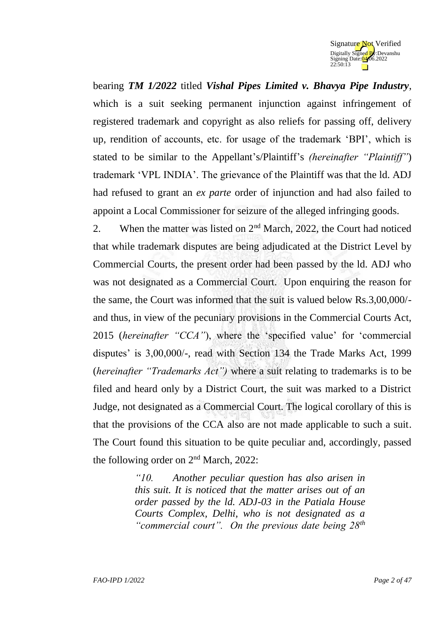

bearing *TM 1/2022* titled *Vishal Pipes Limited v. Bhavya Pipe Industry*, which is a suit seeking permanent injunction against infringement of registered trademark and copyright as also reliefs for passing off, delivery up, rendition of accounts, etc. for usage of the trademark 'BPI', which is stated to be similar to the Appellant's/Plaintiff's *(hereinafter "Plaintiff"*) trademark 'VPL INDIA'. The grievance of the Plaintiff was that the ld. ADJ had refused to grant an *ex parte* order of injunction and had also failed to appoint a Local Commissioner for seizure of the alleged infringing goods.

2. When the matter was listed on  $2<sup>nd</sup> March$ , 2022, the Court had noticed that while trademark disputes are being adjudicated at the District Level by Commercial Courts, the present order had been passed by the ld. ADJ who was not designated as a Commercial Court. Upon enquiring the reason for the same, the Court was informed that the suit is valued below Rs.3,00,000/ and thus, in view of the pecuniary provisions in the Commercial Courts Act, 2015 (*hereinafter "CCA"*), where the 'specified value' for 'commercial disputes' is 3,00,000/-, read with Section 134 the Trade Marks Act, 1999 (*hereinafter "Trademarks Act")* where a suit relating to trademarks is to be filed and heard only by a District Court, the suit was marked to a District Judge, not designated as a Commercial Court. The logical corollary of this is that the provisions of the CCA also are not made applicable to such a suit. The Court found this situation to be quite peculiar and, accordingly, passed the following order on 2nd March, 2022:

> *"10. Another peculiar question has also arisen in this suit. It is noticed that the matter arises out of an order passed by the ld. ADJ-03 in the Patiala House Courts Complex, Delhi, who is not designated as a "commercial court". On the previous date being 28th*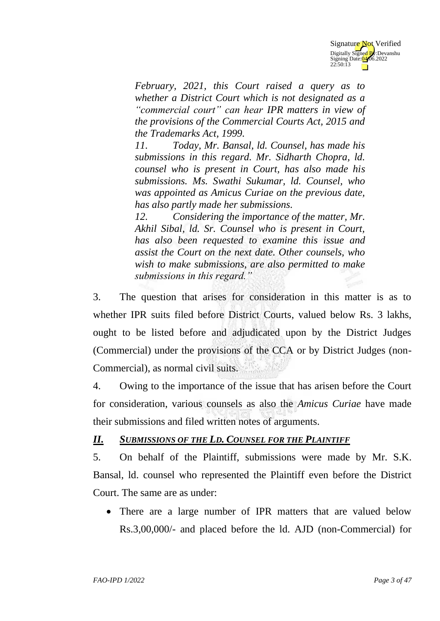

*February, 2021, this Court raised a query as to whether a District Court which is not designated as a "commercial court" can hear IPR matters in view of the provisions of the Commercial Courts Act, 2015 and the Trademarks Act, 1999.* 

*11. Today, Mr. Bansal, ld. Counsel, has made his submissions in this regard. Mr. Sidharth Chopra, ld. counsel who is present in Court, has also made his submissions. Ms. Swathi Sukumar, ld. Counsel, who was appointed as Amicus Curiae on the previous date, has also partly made her submissions.* 

*12. Considering the importance of the matter, Mr. Akhil Sibal, ld. Sr. Counsel who is present in Court, has also been requested to examine this issue and assist the Court on the next date. Other counsels, who wish to make submissions, are also permitted to make submissions in this regard."*

3. The question that arises for consideration in this matter is as to whether IPR suits filed before District Courts, valued below Rs. 3 lakhs, ought to be listed before and adjudicated upon by the District Judges (Commercial) under the provisions of the CCA or by District Judges (non-Commercial), as normal civil suits.

4. Owing to the importance of the issue that has arisen before the Court for consideration, various counsels as also the *Amicus Curiae* have made their submissions and filed written notes of arguments.

#### *II. SUBMISSIONS OF THE LD. COUNSEL FOR THE PLAINTIFF*

5. On behalf of the Plaintiff, submissions were made by Mr. S.K. Bansal, ld. counsel who represented the Plaintiff even before the District Court. The same are as under:

• There are a large number of IPR matters that are valued below Rs.3,00,000/- and placed before the ld. AJD (non-Commercial) for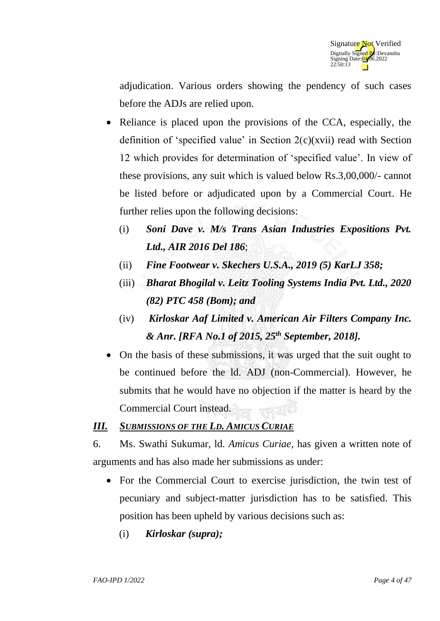

adjudication. Various orders showing the pendency of such cases before the ADJs are relied upon.

- Reliance is placed upon the provisions of the CCA, especially, the definition of 'specified value' in Section 2(c)(xvii) read with Section 12 which provides for determination of 'specified value'. In view of these provisions, any suit which is valued below Rs.3,00,000/- cannot be listed before or adjudicated upon by a Commercial Court. He further relies upon the following decisions:
	- (i) *Soni Dave v. M/s Trans Asian Industries Expositions Pvt. Ltd., AIR 2016 Del 186*;
	- (ii) *Fine Footwear v. Skechers U.S.A., 2019 (5) KarLJ 358;*
	- (iii) *Bharat Bhogilal v. Leitz Tooling Systems India Pvt. Ltd., 2020 (82) PTC 458 (Bom); and*
	- (iv) *Kirloskar Aaf Limited v. American Air Filters Company Inc. & Anr. [RFA No.1 of 2015, 25th September, 2018].*
- On the basis of these submissions, it was urged that the suit ought to be continued before the ld. ADJ (non-Commercial). However, he submits that he would have no objection if the matter is heard by the Commercial Court instead. 장치인 13

## *III. SUBMISSIONS OF THE LD. AMICUS CURIAE*

6. Ms. Swathi Sukumar, ld*. Amicus Curiae*, has given a written note of arguments and has also made her submissions as under:

- For the Commercial Court to exercise jurisdiction, the twin test of pecuniary and subject-matter jurisdiction has to be satisfied. This position has been upheld by various decisions such as:
	- (i) *Kirloskar (supra);*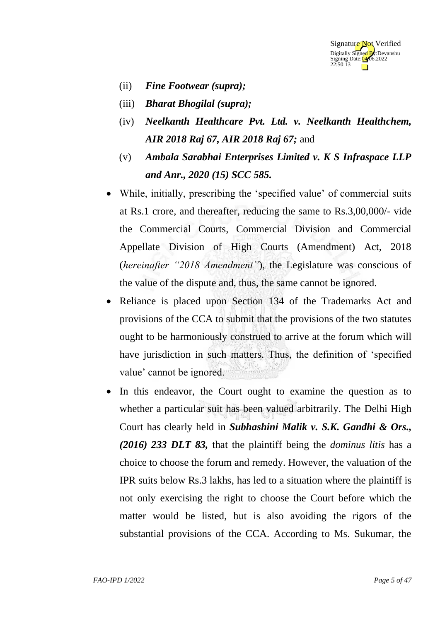

- (ii) *Fine Footwear (supra);*
- (iii) *Bharat Bhogilal (supra);*
- (iv) *Neelkanth Healthcare Pvt. Ltd. v. Neelkanth Healthchem, AIR 2018 Raj 67, AIR 2018 Raj 67;* and
- (v) *Ambala Sarabhai Enterprises Limited v. K S Infraspace LLP and Anr., 2020 (15) SCC 585.*
- While, initially, prescribing the 'specified value' of commercial suits at Rs.1 crore, and thereafter, reducing the same to Rs.3,00,000/- vide the Commercial Courts, Commercial Division and Commercial Appellate Division of High Courts (Amendment) Act, 2018 (*hereinafter "2018 Amendment"*), the Legislature was conscious of the value of the dispute and, thus, the same cannot be ignored.
- Reliance is placed upon Section 134 of the Trademarks Act and provisions of the CCA to submit that the provisions of the two statutes ought to be harmoniously construed to arrive at the forum which will have jurisdiction in such matters. Thus, the definition of 'specified value' cannot be ignored.
- In this endeavor, the Court ought to examine the question as to whether a particular suit has been valued arbitrarily. The Delhi High Court has clearly held in *Subhashini Malik v. S.K. Gandhi & Ors., (2016) 233 DLT 83,* that the plaintiff being the *dominus litis* has a choice to choose the forum and remedy. However, the valuation of the IPR suits below Rs.3 lakhs, has led to a situation where the plaintiff is not only exercising the right to choose the Court before which the matter would be listed, but is also avoiding the rigors of the substantial provisions of the CCA. According to Ms. Sukumar, the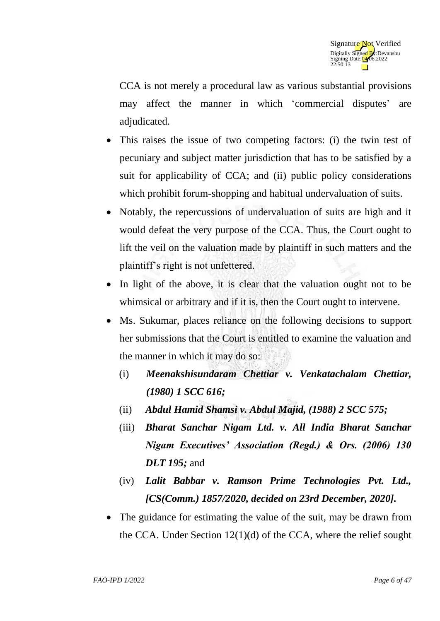CCA is not merely a procedural law as various substantial provisions may affect the manner in which 'commercial disputes' are adjudicated.

- This raises the issue of two competing factors: (i) the twin test of pecuniary and subject matter jurisdiction that has to be satisfied by a suit for applicability of CCA; and (ii) public policy considerations which prohibit forum-shopping and habitual undervaluation of suits.
- Notably, the repercussions of undervaluation of suits are high and it would defeat the very purpose of the CCA. Thus, the Court ought to lift the veil on the valuation made by plaintiff in such matters and the plaintiff's right is not unfettered.
- In light of the above, it is clear that the valuation ought not to be whimsical or arbitrary and if it is, then the Court ought to intervene.
- Ms. Sukumar, places reliance on the following decisions to support her submissions that the Court is entitled to examine the valuation and the manner in which it may do so:
	- (i) *Meenakshisundaram Chettiar v. Venkatachalam Chettiar, (1980) 1 SCC 616;*
	- (ii) *Abdul Hamid Shamsi v. Abdul Majid, (1988) 2 SCC 575;*
	- (iii) *Bharat Sanchar Nigam Ltd. v. All India Bharat Sanchar Nigam Executives' Association (Regd.) & Ors. (2006) 130 DLT 195;* and
	- (iv) *Lalit Babbar v. Ramson Prime Technologies Pvt. Ltd., [CS(Comm.) 1857/2020, decided on 23rd December, 2020].*
- The guidance for estimating the value of the suit, may be drawn from the CCA. Under Section 12(1)(d) of the CCA, where the relief sought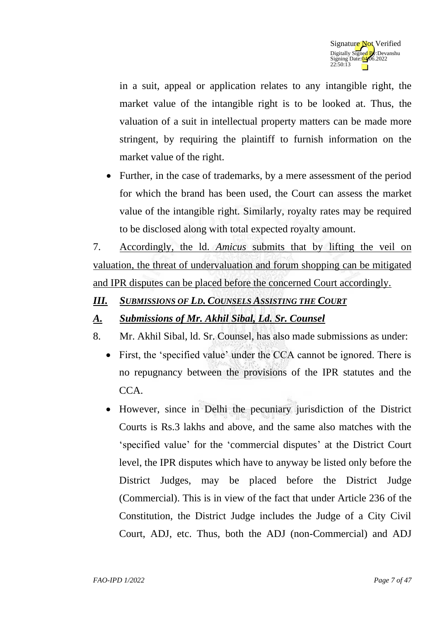

in a suit, appeal or application relates to any intangible right, the market value of the intangible right is to be looked at. Thus, the valuation of a suit in intellectual property matters can be made more stringent, by requiring the plaintiff to furnish information on the market value of the right.

• Further, in the case of trademarks, by a mere assessment of the period for which the brand has been used, the Court can assess the market value of the intangible right. Similarly, royalty rates may be required to be disclosed along with total expected royalty amount.

7. Accordingly, the ld. *Amicus* submits that by lifting the veil on valuation, the threat of undervaluation and forum shopping can be mitigated and IPR disputes can be placed before the concerned Court accordingly.

## *III. SUBMISSIONS OF LD. COUNSELS ASSISTING THE COURT*

## *A. Submissions of Mr. Akhil Sibal, Ld. Sr. Counsel*

- 8. Mr. Akhil Sibal, ld. Sr. Counsel, has also made submissions as under:
	- First, the 'specified value' under the CCA cannot be ignored. There is no repugnancy between the provisions of the IPR statutes and the CCA.
	- However, since in Delhi the pecuniary jurisdiction of the District Courts is Rs.3 lakhs and above, and the same also matches with the 'specified value' for the 'commercial disputes' at the District Court level, the IPR disputes which have to anyway be listed only before the District Judges, may be placed before the District Judge (Commercial). This is in view of the fact that under Article 236 of the Constitution, the District Judge includes the Judge of a City Civil Court, ADJ, etc. Thus, both the ADJ (non-Commercial) and ADJ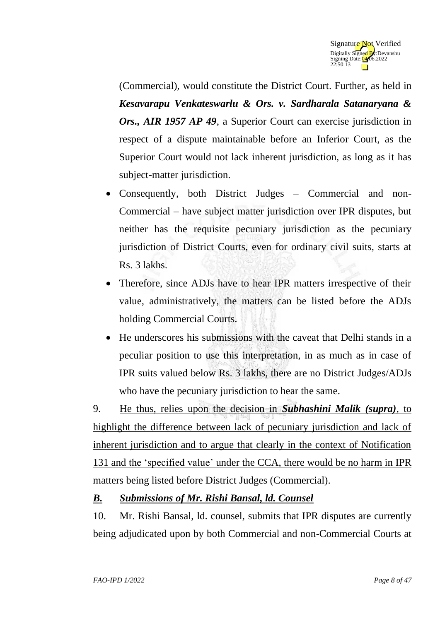

(Commercial), would constitute the District Court. Further, as held in *Kesavarapu Venkateswarlu & Ors. v. Sardharala Satanaryana & Ors., AIR 1957 AP 49*, a Superior Court can exercise jurisdiction in respect of a dispute maintainable before an Inferior Court, as the Superior Court would not lack inherent jurisdiction, as long as it has subject-matter jurisdiction.

- Consequently, both District Judges Commercial and non-Commercial – have subject matter jurisdiction over IPR disputes, but neither has the requisite pecuniary jurisdiction as the pecuniary jurisdiction of District Courts, even for ordinary civil suits, starts at Rs. 3 lakhs.
- Therefore, since ADJs have to hear IPR matters irrespective of their value, administratively, the matters can be listed before the ADJs holding Commercial Courts.
- He underscores his submissions with the caveat that Delhi stands in a peculiar position to use this interpretation, in as much as in case of IPR suits valued below Rs. 3 lakhs, there are no District Judges/ADJs who have the pecuniary jurisdiction to hear the same.

9. He thus, relies upon the decision in *Subhashini Malik (supra)*, to highlight the difference between lack of pecuniary jurisdiction and lack of inherent jurisdiction and to argue that clearly in the context of Notification 131 and the 'specified value' under the CCA, there would be no harm in IPR matters being listed before District Judges (Commercial).

#### *B. Submissions of Mr. Rishi Bansal, ld. Counsel*

10. Mr. Rishi Bansal, ld. counsel, submits that IPR disputes are currently being adjudicated upon by both Commercial and non-Commercial Courts at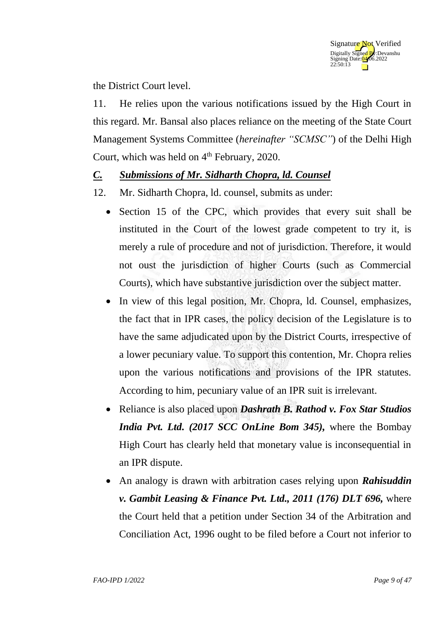

the District Court level.

11. He relies upon the various notifications issued by the High Court in this regard. Mr. Bansal also places reliance on the meeting of the State Court Management Systems Committee (*hereinafter "SCMSC"*) of the Delhi High Court, which was held on  $4<sup>th</sup>$  February, 2020.

## *C. Submissions of Mr. Sidharth Chopra, ld. Counsel*

- 12. Mr. Sidharth Chopra, ld. counsel, submits as under:
	- Section 15 of the CPC, which provides that every suit shall be instituted in the Court of the lowest grade competent to try it, is merely a rule of procedure and not of jurisdiction. Therefore, it would not oust the jurisdiction of higher Courts (such as Commercial Courts), which have substantive jurisdiction over the subject matter.
	- In view of this legal position, Mr. Chopra, ld. Counsel, emphasizes, the fact that in IPR cases, the policy decision of the Legislature is to have the same adjudicated upon by the District Courts, irrespective of a lower pecuniary value. To support this contention, Mr. Chopra relies upon the various notifications and provisions of the IPR statutes. According to him, pecuniary value of an IPR suit is irrelevant.
	- Reliance is also placed upon *Dashrath B. Rathod v. Fox Star Studios India Pvt. Ltd. (2017 SCC OnLine Bom 345),* where the Bombay High Court has clearly held that monetary value is inconsequential in an IPR dispute.
	- An analogy is drawn with arbitration cases relying upon *Rahisuddin v. Gambit Leasing & Finance Pvt. Ltd., 2011 (176) DLT 696,* where the Court held that a petition under Section 34 of the Arbitration and Conciliation Act, 1996 ought to be filed before a Court not inferior to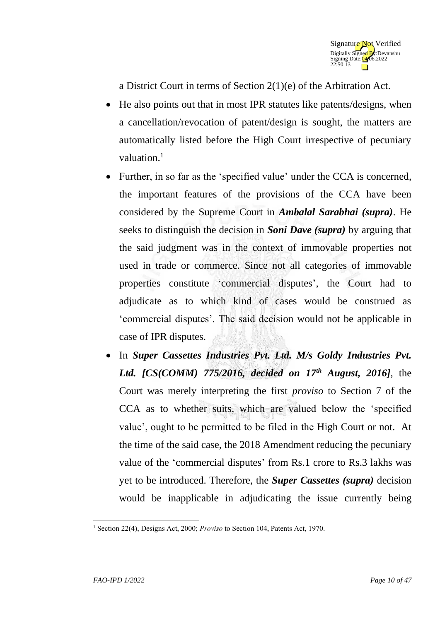

a District Court in terms of Section 2(1)(e) of the Arbitration Act.

- He also points out that in most IPR statutes like patents/designs, when a cancellation/revocation of patent/design is sought, the matters are automatically listed before the High Court irrespective of pecuniary valuation.<sup>1</sup>
- Further, in so far as the 'specified value' under the CCA is concerned, the important features of the provisions of the CCA have been considered by the Supreme Court in *Ambalal Sarabhai (supra)*. He seeks to distinguish the decision in *Soni Dave (supra)* by arguing that the said judgment was in the context of immovable properties not used in trade or commerce. Since not all categories of immovable properties constitute 'commercial disputes', the Court had to adjudicate as to which kind of cases would be construed as 'commercial disputes'. The said decision would not be applicable in case of IPR disputes.
- In *Super Cassettes Industries Pvt. Ltd. M/s Goldy Industries Pvt. Ltd. [CS(COMM) 775/2016, decided on 17th August, 2016]*, the Court was merely interpreting the first *proviso* to Section 7 of the CCA as to whether suits, which are valued below the 'specified value', ought to be permitted to be filed in the High Court or not. At the time of the said case, the 2018 Amendment reducing the pecuniary value of the 'commercial disputes' from Rs.1 crore to Rs.3 lakhs was yet to be introduced. Therefore, the *Super Cassettes (supra)* decision would be inapplicable in adjudicating the issue currently being

<sup>&</sup>lt;sup>1</sup> Section 22(4), Designs Act, 2000; *Proviso* to Section 104, Patents Act, 1970.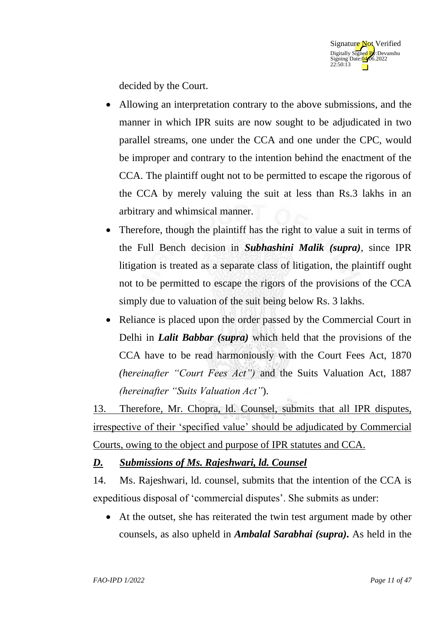

decided by the Court.

- Allowing an interpretation contrary to the above submissions, and the manner in which IPR suits are now sought to be adjudicated in two parallel streams, one under the CCA and one under the CPC, would be improper and contrary to the intention behind the enactment of the CCA. The plaintiff ought not to be permitted to escape the rigorous of the CCA by merely valuing the suit at less than Rs.3 lakhs in an arbitrary and whimsical manner.
- Therefore, though the plaintiff has the right to value a suit in terms of the Full Bench decision in *Subhashini Malik (supra)*, since IPR litigation is treated as a separate class of litigation, the plaintiff ought not to be permitted to escape the rigors of the provisions of the CCA simply due to valuation of the suit being below Rs. 3 lakhs.
- Reliance is placed upon the order passed by the Commercial Court in Delhi in *Lalit Babbar (supra)* which held that the provisions of the CCA have to be read harmoniously with the Court Fees Act, 1870 *(hereinafter "Court Fees Act")* and the Suits Valuation Act, 1887 *(hereinafter "Suits Valuation Act"*).

13. Therefore, Mr. Chopra, ld. Counsel, submits that all IPR disputes, irrespective of their 'specified value' should be adjudicated by Commercial Courts, owing to the object and purpose of IPR statutes and CCA.

#### *D. Submissions of Ms. Rajeshwari, ld. Counsel*

14. Ms. Rajeshwari, ld. counsel, submits that the intention of the CCA is expeditious disposal of 'commercial disputes'. She submits as under:

At the outset, she has reiterated the twin test argument made by other counsels, as also upheld in *Ambalal Sarabhai (supra).* As held in the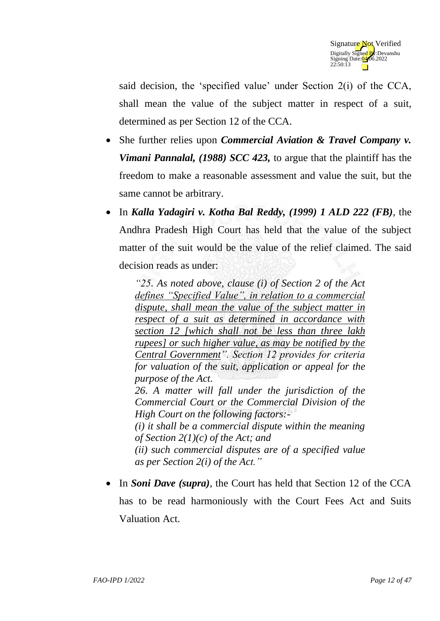

said decision, the 'specified value' under Section 2(i) of the CCA, shall mean the value of the subject matter in respect of a suit, determined as per Section 12 of the CCA.

- She further relies upon *Commercial Aviation & Travel Company v. Vimani Pannalal, (1988) SCC 423,* to argue that the plaintiff has the freedom to make a reasonable assessment and value the suit, but the same cannot be arbitrary.
- In *Kalla Yadagiri v. Kotha Bal Reddy, (1999) 1 ALD 222 (FB)*, the Andhra Pradesh High Court has held that the value of the subject matter of the suit would be the value of the relief claimed. The said decision reads as under:

*"25. As noted above, clause (i) of Section 2 of the Act defines "Specified Value", in relation to a commercial dispute, shall mean the value of the subject matter in respect of a suit as determined in accordance with section 12 [which shall not be less than three lakh rupees] or such higher value, as may be notified by the Central Government". Section 12 provides for criteria for valuation of the suit, application or appeal for the purpose of the Act. 26. A matter will fall under the jurisdiction of the Commercial Court or the Commercial Division of the High Court on the following factors:- (i) it shall be a commercial dispute within the meaning of Section 2(1)(c) of the Act; and (ii) such commercial disputes are of a specified value as per Section 2(i) of the Act."*

• In *Soni Dave (supra)*, the Court has held that Section 12 of the CCA has to be read harmoniously with the Court Fees Act and Suits Valuation Act.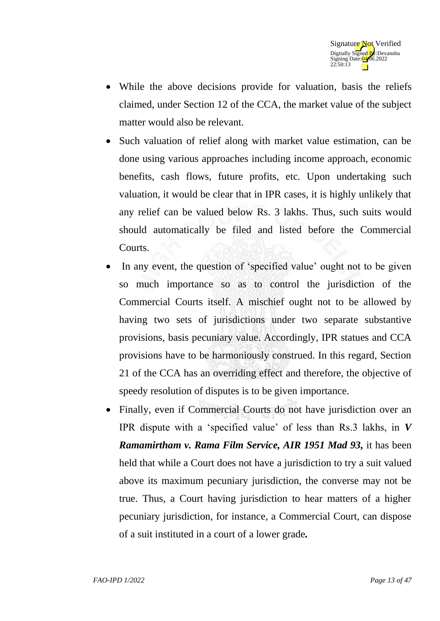

- While the above decisions provide for valuation, basis the reliefs claimed, under Section 12 of the CCA, the market value of the subject matter would also be relevant.
- Such valuation of relief along with market value estimation, can be done using various approaches including income approach, economic benefits, cash flows, future profits, etc. Upon undertaking such valuation, it would be clear that in IPR cases, it is highly unlikely that any relief can be valued below Rs. 3 lakhs. Thus, such suits would should automatically be filed and listed before the Commercial Courts.
- In any event, the question of 'specified value' ought not to be given so much importance so as to control the jurisdiction of the Commercial Courts itself. A mischief ought not to be allowed by having two sets of jurisdictions under two separate substantive provisions, basis pecuniary value. Accordingly, IPR statues and CCA provisions have to be harmoniously construed. In this regard, Section 21 of the CCA has an overriding effect and therefore, the objective of speedy resolution of disputes is to be given importance.
- Finally, even if Commercial Courts do not have jurisdiction over an IPR dispute with a 'specified value' of less than Rs.3 lakhs, in *V Ramamirtham v. Rama Film Service, AIR 1951 Mad 93,* it has been held that while a Court does not have a jurisdiction to try a suit valued above its maximum pecuniary jurisdiction, the converse may not be true. Thus, a Court having jurisdiction to hear matters of a higher pecuniary jurisdiction, for instance, a Commercial Court, can dispose of a suit instituted in a court of a lower grade*.*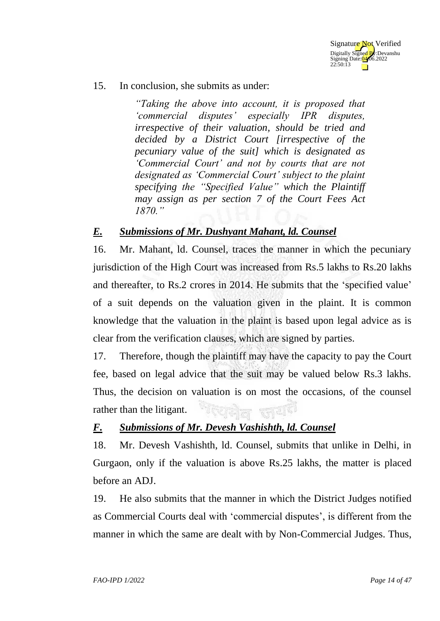

#### 15. In conclusion, she submits as under:

*"Taking the above into account, it is proposed that 'commercial disputes' especially IPR disputes, irrespective of their valuation, should be tried and decided by a District Court [irrespective of the pecuniary value of the suit] which is designated as 'Commercial Court' and not by courts that are not designated as 'Commercial Court' subject to the plaint specifying the "Specified Value" which the Plaintiff may assign as per section 7 of the Court Fees Act 1870."*

## *E. Submissions of Mr. Dushyant Mahant, ld. Counsel*

16. Mr. Mahant, ld. Counsel, traces the manner in which the pecuniary jurisdiction of the High Court was increased from Rs.5 lakhs to Rs.20 lakhs and thereafter, to Rs.2 crores in 2014. He submits that the 'specified value' of a suit depends on the valuation given in the plaint. It is common knowledge that the valuation in the plaint is based upon legal advice as is clear from the verification clauses, which are signed by parties.

17. Therefore, though the plaintiff may have the capacity to pay the Court fee, based on legal advice that the suit may be valued below Rs.3 lakhs. Thus, the decision on valuation is on most the occasions, of the counsel rather than the litigant. 지진화

## *F. Submissions of Mr. Devesh Vashishth, ld. Counsel*

18. Mr. Devesh Vashishth, ld. Counsel, submits that unlike in Delhi, in Gurgaon, only if the valuation is above Rs.25 lakhs, the matter is placed before an ADJ.

19. He also submits that the manner in which the District Judges notified as Commercial Courts deal with 'commercial disputes', is different from the manner in which the same are dealt with by Non-Commercial Judges. Thus,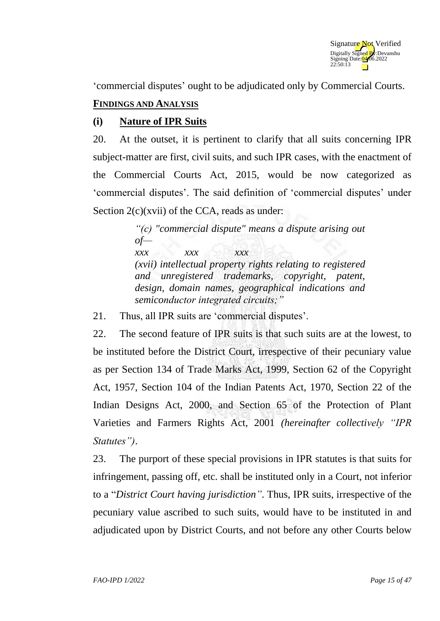

'commercial disputes' ought to be adjudicated only by Commercial Courts.

#### **FINDINGS AND ANALYSIS**

## **(i) Nature of IPR Suits**

20. At the outset, it is pertinent to clarify that all suits concerning IPR subject-matter are first, civil suits, and such IPR cases, with the enactment of the Commercial Courts Act, 2015, would be now categorized as 'commercial disputes'. The said definition of 'commercial disputes' under Section 2(c)(xvii) of the CCA, reads as under:

> *"(c) "commercial dispute" means a dispute arising out of xxx xxx xxx (xvii) intellectual property rights relating to registered and unregistered trademarks, copyright, patent, design, domain names, geographical indications and semiconductor integrated circuits;"*

21. Thus, all IPR suits are 'commercial disputes'.

22. The second feature of IPR suits is that such suits are at the lowest, to be instituted before the District Court, irrespective of their pecuniary value as per Section 134 of Trade Marks Act, 1999, Section 62 of the Copyright Act, 1957, Section 104 of the Indian Patents Act, 1970, Section 22 of the Indian Designs Act, 2000, and Section 65 of the Protection of Plant Varieties and Farmers Rights Act, 2001 *(hereinafter collectively "IPR Statutes")*.

23. The purport of these special provisions in IPR statutes is that suits for infringement, passing off, etc. shall be instituted only in a Court, not inferior to a "*District Court having jurisdiction"*. Thus, IPR suits, irrespective of the pecuniary value ascribed to such suits, would have to be instituted in and adjudicated upon by District Courts, and not before any other Courts below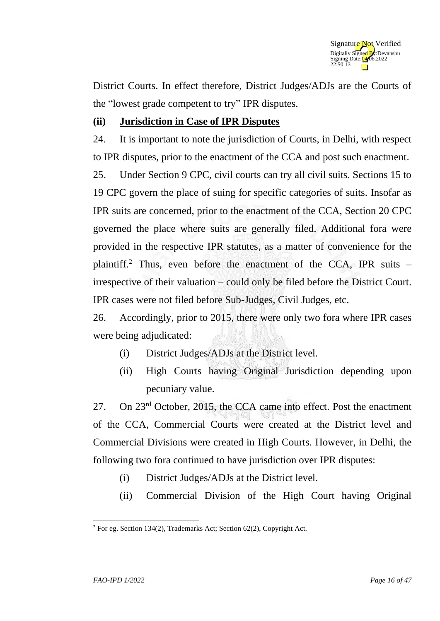

District Courts. In effect therefore, District Judges/ADJs are the Courts of the "lowest grade competent to try" IPR disputes.

#### **(ii) Jurisdiction in Case of IPR Disputes**

24. It is important to note the jurisdiction of Courts, in Delhi, with respect to IPR disputes, prior to the enactment of the CCA and post such enactment.

25. Under Section 9 CPC, civil courts can try all civil suits. Sections 15 to 19 CPC govern the place of suing for specific categories of suits. Insofar as IPR suits are concerned, prior to the enactment of the CCA, Section 20 CPC governed the place where suits are generally filed. Additional fora were provided in the respective IPR statutes, as a matter of convenience for the plaintiff.<sup>2</sup> Thus, even before the enactment of the CCA, IPR suits – irrespective of their valuation – could only be filed before the District Court. IPR cases were not filed before Sub-Judges, Civil Judges, etc.

26. Accordingly, prior to 2015, there were only two fora where IPR cases were being adjudicated:

- (i) District Judges/ADJs at the District level.
- (ii) High Courts having Original Jurisdiction depending upon pecuniary value.

27. On 23rd October, 2015, the CCA came into effect. Post the enactment of the CCA, Commercial Courts were created at the District level and Commercial Divisions were created in High Courts. However, in Delhi, the following two fora continued to have jurisdiction over IPR disputes:

- (i) District Judges/ADJs at the District level.
- (ii) Commercial Division of the High Court having Original

<sup>2</sup> For eg. Section 134(2), Trademarks Act; Section 62(2), Copyright Act.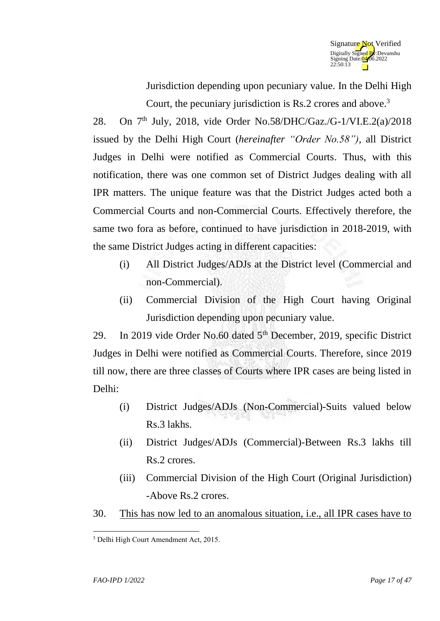

Jurisdiction depending upon pecuniary value. In the Delhi High Court, the pecuniary jurisdiction is Rs.2 crores and above.<sup>3</sup>

28. On 7<sup>th</sup> July, 2018, vide Order No.58/DHC/Gaz./G-1/VI.E.2(a)/2018 issued by the Delhi High Court (*hereinafter "Order No.58"),* all District Judges in Delhi were notified as Commercial Courts. Thus, with this notification, there was one common set of District Judges dealing with all IPR matters. The unique feature was that the District Judges acted both a Commercial Courts and non-Commercial Courts. Effectively therefore, the same two fora as before, continued to have jurisdiction in 2018-2019, with the same District Judges acting in different capacities:

- (i) All District Judges/ADJs at the District level (Commercial and non-Commercial).
- (ii) Commercial Division of the High Court having Original Jurisdiction depending upon pecuniary value.

29. In 2019 vide Order No.60 dated  $5<sup>th</sup>$  December, 2019, specific District Judges in Delhi were notified as Commercial Courts. Therefore, since 2019 till now, there are three classes of Courts where IPR cases are being listed in Delhi:

- (i) District Judges/ADJs (Non-Commercial)-Suits valued below Rs.3 lakhs.
- (ii) District Judges/ADJs (Commercial)-Between Rs.3 lakhs till Rs.2 crores.
- (iii) Commercial Division of the High Court (Original Jurisdiction) -Above Rs.2 crores.
- 30. This has now led to an anomalous situation, i.e., all IPR cases have to

<sup>3</sup> Delhi High Court Amendment Act, 2015.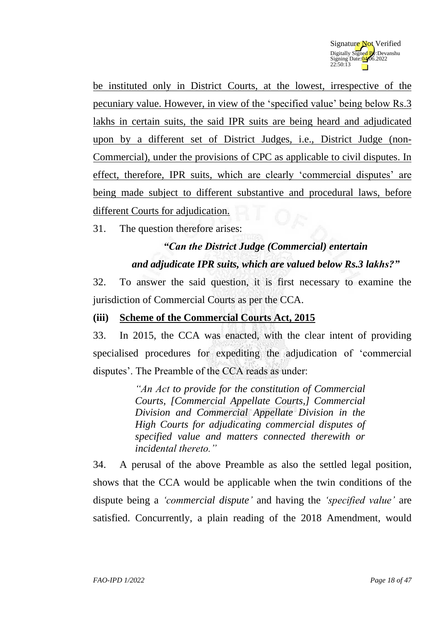

be instituted only in District Courts, at the lowest, irrespective of the pecuniary value. However, in view of the 'specified value' being below Rs.3 lakhs in certain suits, the said IPR suits are being heard and adjudicated upon by a different set of District Judges, i.e., District Judge (non-Commercial), under the provisions of CPC as applicable to civil disputes. In effect, therefore, IPR suits, which are clearly 'commercial disputes' are being made subject to different substantive and procedural laws, before different Courts for adjudication.

31. The question therefore arises:

## *"Can the District Judge (Commercial) entertain and adjudicate IPR suits, which are valued below Rs.3 lakhs?"*

32. To answer the said question, it is first necessary to examine the jurisdiction of Commercial Courts as per the CCA.

## **(iii) Scheme of the Commercial Courts Act, 2015**

33. In 2015, the CCA was enacted, with the clear intent of providing specialised procedures for expediting the adjudication of 'commercial disputes'. The Preamble of the CCA reads as under:

> *"An Act to provide for the constitution of Commercial Courts, [Commercial Appellate Courts,] Commercial Division and Commercial Appellate Division in the High Courts for adjudicating commercial disputes of specified value and matters connected therewith or incidental thereto."*

34. A perusal of the above Preamble as also the settled legal position, shows that the CCA would be applicable when the twin conditions of the dispute being a *'commercial dispute'* and having the *'specified value'* are satisfied. Concurrently, a plain reading of the 2018 Amendment, would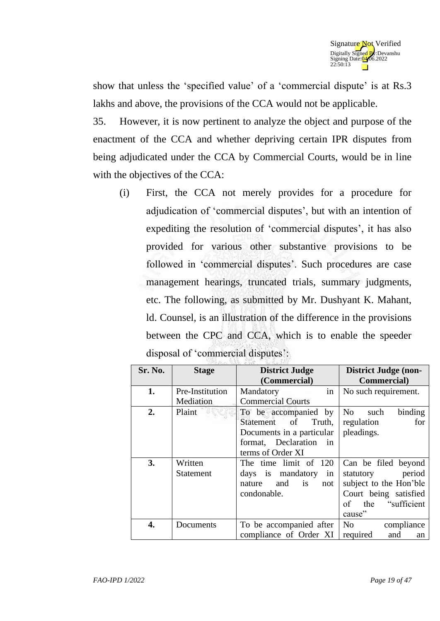

show that unless the 'specified value' of a 'commercial dispute' is at Rs.3 lakhs and above, the provisions of the CCA would not be applicable.

35. However, it is now pertinent to analyze the object and purpose of the enactment of the CCA and whether depriving certain IPR disputes from being adjudicated under the CCA by Commercial Courts, would be in line with the objectives of the CCA:

(i) First, the CCA not merely provides for a procedure for adjudication of 'commercial disputes', but with an intention of expediting the resolution of 'commercial disputes', it has also provided for various other substantive provisions to be followed in 'commercial disputes'. Such procedures are case management hearings, truncated trials, summary judgments, etc. The following, as submitted by Mr. Dushyant K. Mahant, ld. Counsel, is an illustration of the difference in the provisions between the CPC and CCA, which is to enable the speeder disposal of 'commercial disputes':

| Sr. No. | <b>Stage</b>         | <b>District Judge</b>                                                                                                         | <b>District Judge (non-</b>                                                                                                       |
|---------|----------------------|-------------------------------------------------------------------------------------------------------------------------------|-----------------------------------------------------------------------------------------------------------------------------------|
|         |                      | (Commercial)                                                                                                                  | <b>Commercial</b> )                                                                                                               |
| 1.      | Pre-Institution      | in<br>Mandatory                                                                                                               | No such requirement.                                                                                                              |
|         | Mediation            | <b>Commercial Courts</b>                                                                                                      |                                                                                                                                   |
| 2.      | Plaint               | To be accompanied by<br>Statement of<br>Truth,<br>Documents in a particular<br>format, Declaration<br>in<br>terms of Order XI | No No<br>binding<br>such<br>regulation<br>for<br>pleadings.                                                                       |
| 3.      | Written<br>Statement | The time limit of 120<br>days is mandatory in<br>and<br>$\mathbf{i}$ s<br>nature<br>not<br>condonable.                        | Can be filed beyond<br>period<br>statutory<br>subject to the Hon'ble<br>Court being satisfied<br>the "sufficient"<br>of<br>cause" |
| 4.      | Documents            | To be accompanied after<br>compliance of Order XI                                                                             | No r<br>compliance<br>required<br>and<br>an                                                                                       |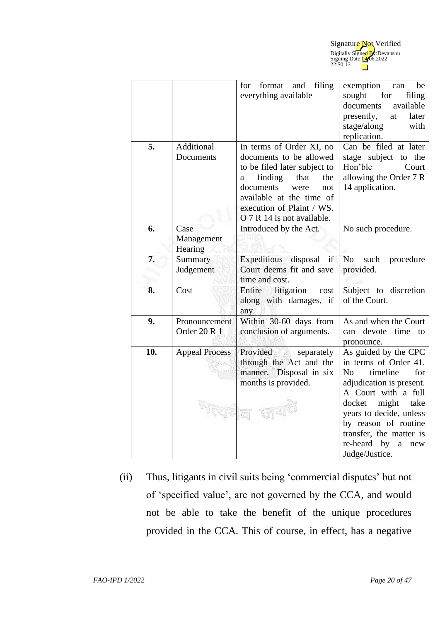

|     |                               | and filing<br>format<br>for<br>everything available                                                                                                                                                                                              | exemption<br>be<br>can<br>sought<br>for<br>filing<br>available<br>documents<br>presently,<br>later<br>at<br>stage/along<br>with<br>replication.                                                                                                                                              |
|-----|-------------------------------|--------------------------------------------------------------------------------------------------------------------------------------------------------------------------------------------------------------------------------------------------|----------------------------------------------------------------------------------------------------------------------------------------------------------------------------------------------------------------------------------------------------------------------------------------------|
| 5.  | Additional<br>Documents       | In terms of Order XI, no<br>documents to be allowed<br>to be filed later subject to<br>finding<br>that<br>the<br>$\mathbf{a}$<br>documents<br>were<br>not<br>available at the time of<br>execution of Plaint / WS.<br>O 7 R 14 is not available. | Can be filed at later<br>stage subject to the<br>Hon'ble<br>Court<br>allowing the Order 7 R<br>14 application.                                                                                                                                                                               |
| 6.  | Case<br>Management<br>Hearing | Introduced by the Act.                                                                                                                                                                                                                           | No such procedure.                                                                                                                                                                                                                                                                           |
| 7.  | Summary<br>Judgement          | Expeditious disposal<br>if<br>Court deems fit and save<br>time and cost.                                                                                                                                                                         | No.<br>such<br>procedure<br>provided.                                                                                                                                                                                                                                                        |
| 8.  | Cost                          | litigation<br>Entire<br>cost<br>along with damages, if<br>any.                                                                                                                                                                                   | Subject to discretion<br>of the Court.                                                                                                                                                                                                                                                       |
| 9.  | Pronouncement<br>Order 20 R 1 | Within 30-60 days from<br>conclusion of arguments.                                                                                                                                                                                               | As and when the Court<br>devote<br>time to<br>can<br>pronounce.                                                                                                                                                                                                                              |
| 10. | Appeal Process                | Provided<br>separately<br>through the Act and the<br>manner. Disposal in six<br>months is provided.                                                                                                                                              | As guided by the CPC<br>in terms of Order 41.<br>for<br>No<br>timeline<br>adjudication is present.<br>A Court with a full<br>docket<br>might<br>take<br>years to decide, unless<br>by reason of routine<br>transfer, the matter is<br>re-heard<br>by<br>$\mathbf a$<br>new<br>Judge/Justice. |

(ii) Thus, litigants in civil suits being 'commercial disputes' but not of 'specified value', are not governed by the CCA, and would not be able to take the benefit of the unique procedures provided in the CCA. This of course, in effect, has a negative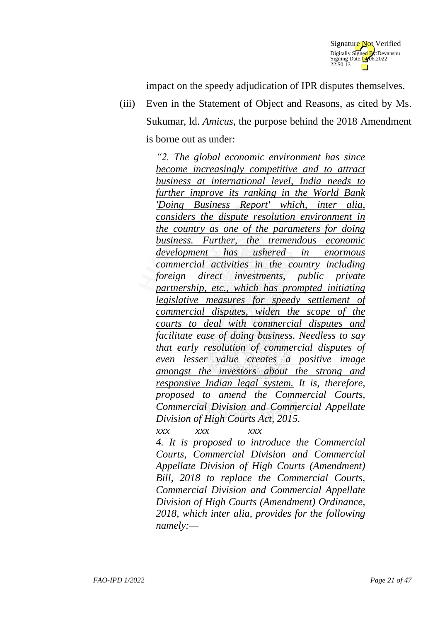

impact on the speedy adjudication of IPR disputes themselves.

(iii) Even in the Statement of Object and Reasons, as cited by Ms. Sukumar, ld. *Amicus*, the purpose behind the 2018 Amendment is borne out as under:

> *"2. The global economic environment has since become increasingly competitive and to attract business at international level, India needs to further improve its ranking in the World Bank 'Doing Business Report' which, inter alia, considers the dispute resolution environment in the country as one of the parameters for doing business. Further, the tremendous economic development has ushered in enormous commercial activities in the country including foreign direct investments, public private partnership, etc., which has prompted initiating legislative measures for speedy settlement of commercial disputes, widen the scope of the courts to deal with commercial disputes and facilitate ease of doing business. Needless to say that early resolution of commercial disputes of even lesser value creates a positive image amongst the investors about the strong and responsive Indian legal system. It is, therefore, proposed to amend the Commercial Courts, Commercial Division and Commercial Appellate Division of High Courts Act, 2015.*

> *xxx xxx xxx 4. It is proposed to introduce the Commercial Courts, Commercial Division and Commercial Appellate Division of High Courts (Amendment) Bill, 2018 to replace the Commercial Courts, Commercial Division and Commercial Appellate Division of High Courts (Amendment) Ordinance, 2018, which inter alia, provides for the following namely:—*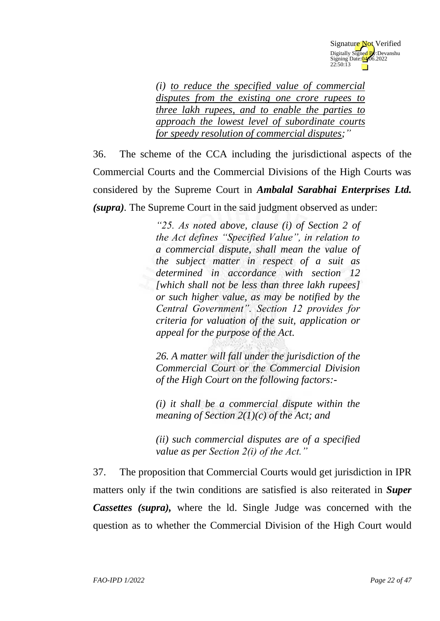

*(i) to reduce the specified value of commercial disputes from the existing one crore rupees to three lakh rupees, and to enable the parties to approach the lowest level of subordinate courts for speedy resolution of commercial disputes;"*

36. The scheme of the CCA including the jurisdictional aspects of the Commercial Courts and the Commercial Divisions of the High Courts was considered by the Supreme Court in *Ambalal Sarabhai Enterprises Ltd. (supra).* The Supreme Court in the said judgment observed as under:

> *"25. As noted above, clause (i) of Section 2 of the Act defines "Specified Value", in relation to a commercial dispute, shall mean the value of the subject matter in respect of a suit as determined in accordance with section 12 [which shall not be less than three lakh rupees] or such higher value, as may be notified by the Central Government". Section 12 provides for criteria for valuation of the suit, application or appeal for the purpose of the Act.*

*26. A matter will fall under the jurisdiction of the Commercial Court or the Commercial Division of the High Court on the following factors:-*

*(i) it shall be a commercial dispute within the meaning of Section 2(1)(c) of the Act; and*

*(ii) such commercial disputes are of a specified value as per Section 2(i) of the Act."*

37. The proposition that Commercial Courts would get jurisdiction in IPR matters only if the twin conditions are satisfied is also reiterated in *Super Cassettes (supra),* where the ld. Single Judge was concerned with the question as to whether the Commercial Division of the High Court would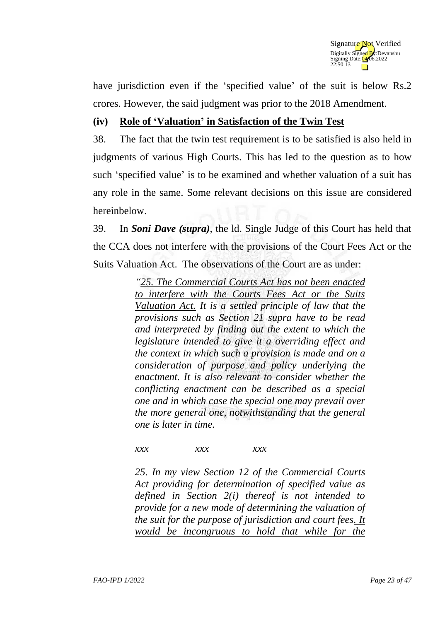

have jurisdiction even if the 'specified value' of the suit is below Rs.2 crores. However, the said judgment was prior to the 2018 Amendment.

## **(iv) Role of 'Valuation' in Satisfaction of the Twin Test**

38. The fact that the twin test requirement is to be satisfied is also held in judgments of various High Courts. This has led to the question as to how such 'specified value' is to be examined and whether valuation of a suit has any role in the same. Some relevant decisions on this issue are considered hereinbelow.

39. In *Soni Dave (supra)*, the ld. Single Judge of this Court has held that the CCA does not interfere with the provisions of the Court Fees Act or the Suits Valuation Act. The observations of the Court are as under:

> *"25. The Commercial Courts Act has not been enacted to interfere with the Courts Fees Act or the Suits Valuation Act. It is a settled principle of law that the provisions such as Section 21 supra have to be read and interpreted by finding out the extent to which the legislature intended to give it a overriding effect and the context in which such a provision is made and on a consideration of purpose and policy underlying the enactment. It is also relevant to consider whether the conflicting enactment can be described as a special one and in which case the special one may prevail over the more general one, notwithstanding that the general one is later in time.*

#### *xxx xxx xxx*

*25. In my view Section 12 of the Commercial Courts Act providing for determination of specified value as defined in Section 2(i) thereof is not intended to provide for a new mode of determining the valuation of the suit for the purpose of jurisdiction and court fees. It would be incongruous to hold that while for the*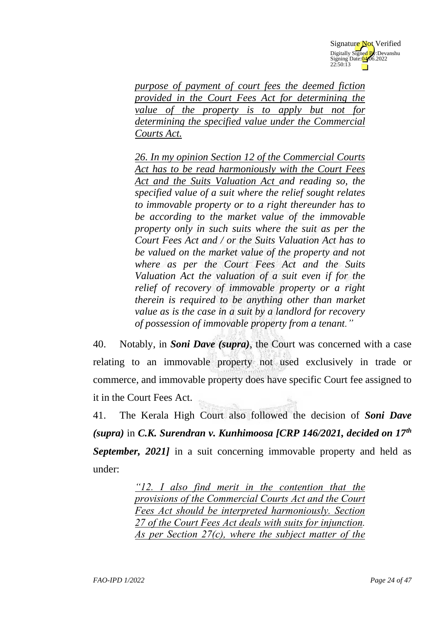

*purpose of payment of court fees the deemed fiction provided in the Court Fees Act for determining the value of the property is to apply but not for determining the specified value under the Commercial Courts Act.*

*26. In my opinion Section 12 of the Commercial Courts Act has to be read harmoniously with the Court Fees Act and the Suits Valuation Act and reading so, the specified value of a suit where the relief sought relates to immovable property or to a right thereunder has to be according to the market value of the immovable property only in such suits where the suit as per the Court Fees Act and / or the Suits Valuation Act has to be valued on the market value of the property and not where as per the Court Fees Act and the Suits Valuation Act the valuation of a suit even if for the relief of recovery of immovable property or a right therein is required to be anything other than market value as is the case in a suit by a landlord for recovery of possession of immovable property from a tenant."*

40. Notably, in *Soni Dave (supra)*, the Court was concerned with a case relating to an immovable property not used exclusively in trade or commerce, and immovable property does have specific Court fee assigned to it in the Court Fees Act.

41. The Kerala High Court also followed the decision of *Soni Dave (supra)* in *C.K. Surendran v. Kunhimoosa [CRP 146/2021, decided on 17th September, 2021]* in a suit concerning immovable property and held as under:

> *"12. I also find merit in the contention that the provisions of the Commercial Courts Act and the Court Fees Act should be interpreted harmoniously. Section 27 of the Court Fees Act deals with suits for injunction. As per Section 27(c), where the subject matter of the*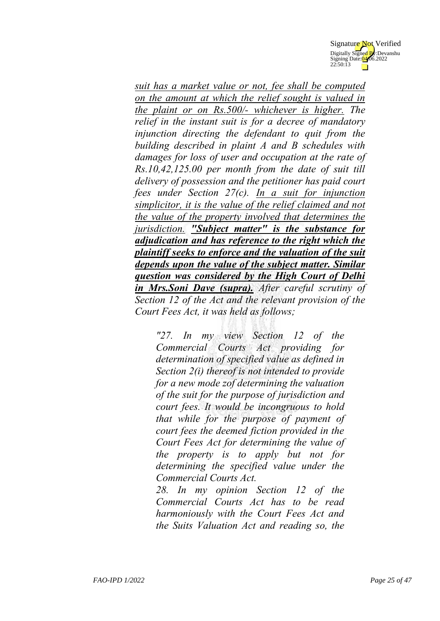

*suit has a market value or not, fee shall be computed on the amount at which the relief sought is valued in the plaint or on Rs.500/- whichever is higher. The relief in the instant suit is for a decree of mandatory injunction directing the defendant to quit from the building described in plaint A and B schedules with damages for loss of user and occupation at the rate of Rs.10,42,125.00 per month from the date of suit till delivery of possession and the petitioner has paid court fees under Section 27(c). In a suit for injunction simplicitor, it is the value of the relief claimed and not the value of the property involved that determines the jurisdiction. "Subject matter" is the substance for adjudication and has reference to the right which the plaintiff seeks to enforce and the valuation of the suit depends upon the value of the subject matter. Similar question was considered by the High Court of Delhi in Mrs.Soni Dave (supra). After careful scrutiny of Section 12 of the Act and the relevant provision of the Court Fees Act, it was held as follows;*

*"27. In my view Section 12 of the Commercial Courts Act providing for determination of specified value as defined in Section 2(i) thereof is not intended to provide for a new mode zof determining the valuation of the suit for the purpose of jurisdiction and court fees. It would be incongruous to hold that while for the purpose of payment of court fees the deemed fiction provided in the Court Fees Act for determining the value of the property is to apply but not for determining the specified value under the Commercial Courts Act.*

*28. In my opinion Section 12 of the Commercial Courts Act has to be read harmoniously with the Court Fees Act and the Suits Valuation Act and reading so, the*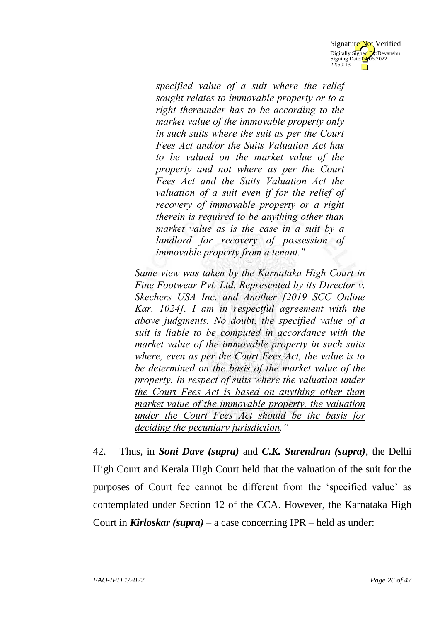

*specified value of a suit where the relief sought relates to immovable property or to a right thereunder has to be according to the market value of the immovable property only in such suits where the suit as per the Court Fees Act and/or the Suits Valuation Act has to be valued on the market value of the property and not where as per the Court Fees Act and the Suits Valuation Act the valuation of a suit even if for the relief of recovery of immovable property or a right therein is required to be anything other than market value as is the case in a suit by a landlord for recovery of possession of immovable property from a tenant."*

*Same view was taken by the Karnataka High Court in Fine Footwear Pvt. Ltd. Represented by its Director v. Skechers USA Inc. and Another [2019 SCC Online Kar. 1024]. I am in respectful agreement with the above judgments. No doubt, the specified value of a suit is liable to be computed in accordance with the market value of the immovable property in such suits where, even as per the Court Fees Act, the value is to be determined on the basis of the market value of the property. In respect of suits where the valuation under the Court Fees Act is based on anything other than market value of the immovable property, the valuation under the Court Fees Act should be the basis for deciding the pecuniary jurisdiction."*

42. Thus, in *Soni Dave (supra)* and *C.K. Surendran (supra)*, the Delhi High Court and Kerala High Court held that the valuation of the suit for the purposes of Court fee cannot be different from the 'specified value' as contemplated under Section 12 of the CCA. However, the Karnataka High Court in *Kirloskar (supra)* – a case concerning IPR – held as under: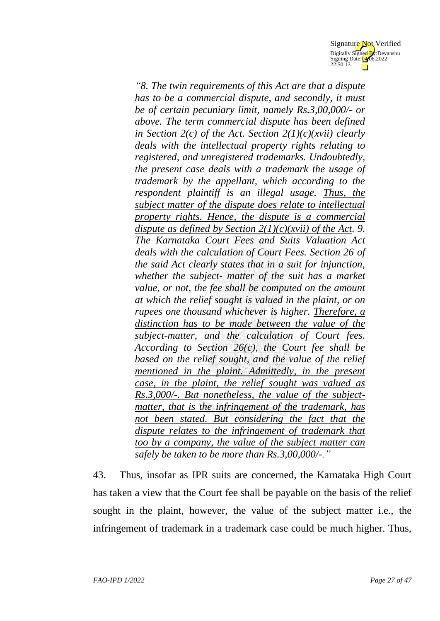

*"8. The twin requirements of this Act are that a dispute has to be a commercial dispute, and secondly, it must be of certain pecuniary limit, namely Rs.3,00,000/- or above. The term commercial dispute has been defined in Section 2(c) of the Act. Section 2(1)(c)(xvii) clearly deals with the intellectual property rights relating to registered, and unregistered trademarks. Undoubtedly, the present case deals with a trademark the usage of trademark by the appellant, which according to the respondent plaintiff is an illegal usage. Thus, the subject matter of the dispute does relate to intellectual property rights. Hence, the dispute is a commercial dispute as defined by Section 2(1)(c)(xvii) of the Act. 9. The Karnataka Court Fees and Suits Valuation Act deals with the calculation of Court Fees. Section 26 of the said Act clearly states that in a suit for injunction, whether the subject- matter of the suit has a market value, or not, the fee shall be computed on the amount at which the relief sought is valued in the plaint, or on rupees one thousand whichever is higher. Therefore, a distinction has to be made between the value of the subject-matter, and the calculation of Court fees. According to Section 26(c), the Court fee shall be based on the relief sought, and the value of the relief mentioned in the plaint. Admittedly, in the present case, in the plaint, the relief sought was valued as Rs.3,000/-. But nonetheless, the value of the subjectmatter, that is the infringement of the trademark, has not been stated. But considering the fact that the dispute relates to the infringement of trademark that too by a company, the value of the subject matter can safely be taken to be more than Rs.3,00,000/-."*

43. Thus, insofar as IPR suits are concerned, the Karnataka High Court has taken a view that the Court fee shall be payable on the basis of the relief sought in the plaint, however, the value of the subject matter i.e., the infringement of trademark in a trademark case could be much higher. Thus,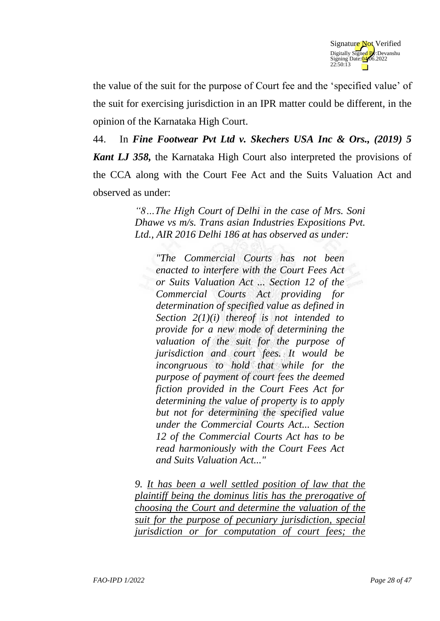

the value of the suit for the purpose of Court fee and the 'specified value' of the suit for exercising jurisdiction in an IPR matter could be different, in the opinion of the Karnataka High Court.

44. In *Fine Footwear Pvt Ltd v. Skechers USA Inc & Ors., (2019) 5 Kant LJ 358,* the Karnataka High Court also interpreted the provisions of the CCA along with the Court Fee Act and the Suits Valuation Act and observed as under:

> *"8…The High Court of Delhi in the case of Mrs. Soni Dhawe vs m/s. Trans asian Industries Expositions Pvt. Ltd., AIR 2016 Delhi 186 at has observed as under:*

*"The Commercial Courts has not been enacted to interfere with the Court Fees Act or Suits Valuation Act ... Section 12 of the Commercial Courts Act providing for determination of specified value as defined in Section 2(1)(i) thereof is not intended to provide for a new mode of determining the valuation of the suit for the purpose of jurisdiction and court fees. It would be incongruous to hold that while for the purpose of payment of court fees the deemed fiction provided in the Court Fees Act for determining the value of property is to apply but not for determining the specified value under the Commercial Courts Act... Section 12 of the Commercial Courts Act has to be read harmoniously with the Court Fees Act and Suits Valuation Act..."*

*9. It has been a well settled position of law that the plaintiff being the dominus litis has the prerogative of choosing the Court and determine the valuation of the suit for the purpose of pecuniary jurisdiction, special jurisdiction or for computation of court fees; the*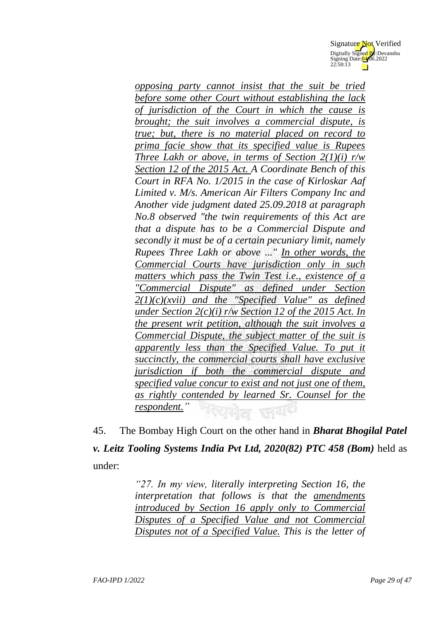

*opposing party cannot insist that the suit be tried before some other Court without establishing the lack of jurisdiction of the Court in which the cause is brought; the suit involves a commercial dispute, is true; but, there is no material placed on record to prima facie show that its specified value is Rupees Three Lakh or above, in terms of Section 2(1)(i) r/w Section 12 of the 2015 Act. A Coordinate Bench of this Court in RFA No. 1/2015 in the case of Kirloskar Aaf Limited v. M/s. American Air Filters Company Inc and Another vide judgment dated 25.09.2018 at paragraph No.8 observed "the twin requirements of this Act are that a dispute has to be a Commercial Dispute and secondly it must be of a certain pecuniary limit, namely Rupees Three Lakh or above ..." In other words, the Commercial Courts have jurisdiction only in such matters which pass the Twin Test i.e., existence of a "Commercial Dispute" as defined under Section 2(1)(c)(xvii) and the "Specified Value" as defined under Section 2(c)(i) r/w Section 12 of the 2015 Act. In the present writ petition, although the suit involves a Commercial Dispute, the subject matter of the suit is apparently less than the Specified Value. To put it succinctly, the commercial courts shall have exclusive jurisdiction if both the commercial dispute and specified value concur to exist and not just one of them, as rightly contended by learned Sr. Counsel for the respondent."* য়ৰীল জশ<sup>্বাহী</sup>

45. The Bombay High Court on the other hand in *Bharat Bhogilal Patel v. Leitz Tooling Systems India Pvt Ltd, 2020(82) PTC 458 (Bom)* held as under:

> *"27. In my view, literally interpreting Section 16, the interpretation that follows is that the amendments introduced by Section 16 apply only to Commercial Disputes of a Specified Value and not Commercial Disputes not of a Specified Value. This is the letter of*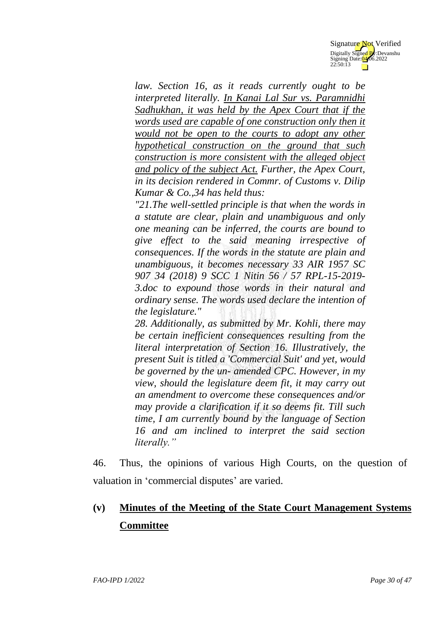

*law. Section 16, as it reads currently ought to be interpreted literally. In Kanai Lal Sur vs. Paramnidhi Sadhukhan, it was held by the Apex Court that if the words used are capable of one construction only then it would not be open to the courts to adopt any other hypothetical construction on the ground that such construction is more consistent with the alleged object and policy of the subject Act. Further, the Apex Court, in its decision rendered in Commr. of Customs v. Dilip Kumar & Co.,34 has held thus:*

*"21.The well-settled principle is that when the words in a statute are clear, plain and unambiguous and only one meaning can be inferred, the courts are bound to give effect to the said meaning irrespective of consequences. If the words in the statute are plain and unambiguous, it becomes necessary 33 AIR 1957 SC 907 34 (2018) 9 SCC 1 Nitin 56 / 57 RPL-15-2019- 3.doc to expound those words in their natural and ordinary sense. The words used declare the intention of the legislature."*

*28. Additionally, as submitted by Mr. Kohli, there may be certain inefficient consequences resulting from the literal interpretation of Section 16. Illustratively, the present Suit is titled a 'Commercial Suit' and yet, would be governed by the un- amended CPC. However, in my view, should the legislature deem fit, it may carry out an amendment to overcome these consequences and/or may provide a clarification if it so deems fit. Till such time, I am currently bound by the language of Section 16 and am inclined to interpret the said section literally."*

46. Thus, the opinions of various High Courts, on the question of valuation in 'commercial disputes' are varied.

## **(v) Minutes of the Meeting of the State Court Management Systems Committee**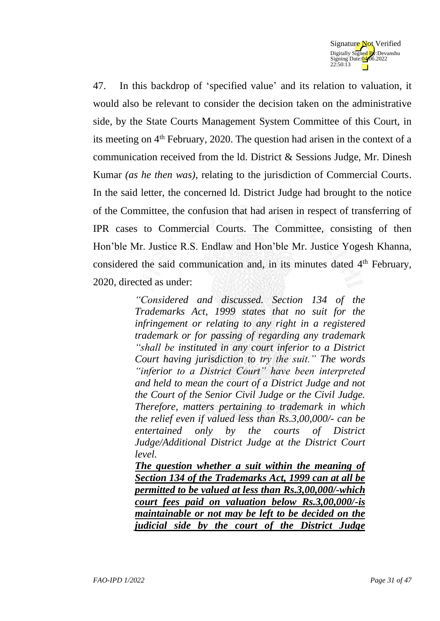

47. In this backdrop of 'specified value' and its relation to valuation, it would also be relevant to consider the decision taken on the administrative side, by the State Courts Management System Committee of this Court, in its meeting on 4th February, 2020. The question had arisen in the context of a communication received from the ld. District & Sessions Judge, Mr. Dinesh Kumar *(as he then was)*, relating to the jurisdiction of Commercial Courts. In the said letter, the concerned ld. District Judge had brought to the notice of the Committee, the confusion that had arisen in respect of transferring of IPR cases to Commercial Courts. The Committee, consisting of then Hon'ble Mr. Justice R.S. Endlaw and Hon'ble Mr. Justice Yogesh Khanna, considered the said communication and, in its minutes dated 4<sup>th</sup> February, 2020, directed as under:

> *"Considered and discussed. Section 134 of the Trademarks Act, 1999 states that no suit for the infringement or relating to any right in a registered trademark or for passing of regarding any trademark "shall be instituted in any court inferior to a District Court having jurisdiction to try the suit." The words "inferior to a District Court" have been interpreted and held to mean the court of a District Judge and not the Court of the Senior Civil Judge or the Civil Judge. Therefore, matters pertaining to trademark in which the relief even if valued less than Rs.3,00,000/- can be entertained only by the courts of District Judge/Additional District Judge at the District Court level.*

> *The question whether a suit within the meaning of Section 134 of the Trademarks Act, 1999 can at all be permitted to be valued at less than Rs.3,00,000/-which court fees paid on valuation below Rs.3,00,000/-is maintainable or not may be left to be decided on the judicial side by the court of the District Judge*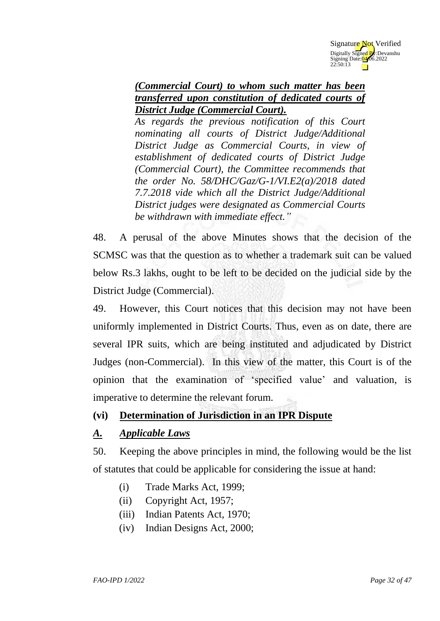

## *(Commercial Court) to whom such matter has been transferred upon constitution of dedicated courts of District Judge (Commercial Court).*

*As regards the previous notification of this Court nominating all courts of District Judge/Additional District Judge as Commercial Courts, in view of establishment of dedicated courts of District Judge (Commercial Court), the Committee recommends that the order No. 58/DHC/Gaz/G-1/VI.E2(a)/2018 dated 7.7.2018 vide which all the District Judge/Additional District judges were designated as Commercial Courts be withdrawn with immediate effect."*

48. A perusal of the above Minutes shows that the decision of the SCMSC was that the question as to whether a trademark suit can be valued below Rs.3 lakhs, ought to be left to be decided on the judicial side by the District Judge (Commercial).

49. However, this Court notices that this decision may not have been uniformly implemented in District Courts. Thus, even as on date, there are several IPR suits, which are being instituted and adjudicated by District Judges (non-Commercial). In this view of the matter, this Court is of the opinion that the examination of 'specified value' and valuation, is imperative to determine the relevant forum.

## **(vi) Determination of Jurisdiction in an IPR Dispute**

## *A. Applicable Laws*

50. Keeping the above principles in mind, the following would be the list of statutes that could be applicable for considering the issue at hand:

- (i) Trade Marks Act, 1999;
- (ii) Copyright Act, 1957;
- (iii) Indian Patents Act, 1970;
- (iv) Indian Designs Act, 2000;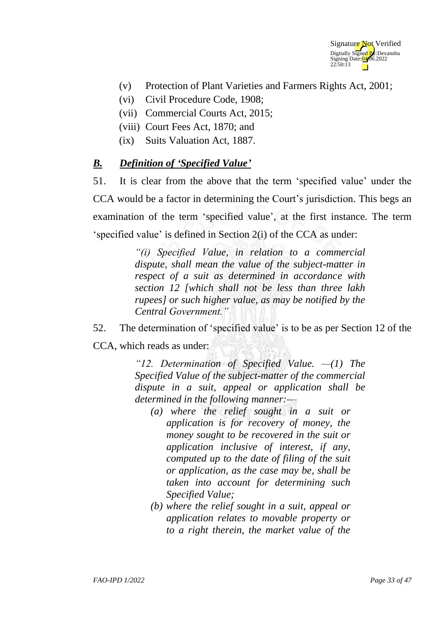

- (v) Protection of Plant Varieties and Farmers Rights Act, 2001;
- (vi) Civil Procedure Code, 1908;
- (vii) Commercial Courts Act, 2015;
- (viii) Court Fees Act, 1870; and
- (ix) Suits Valuation Act, 1887.

## *B. Definition of 'Specified Value'*

51. It is clear from the above that the term 'specified value' under the CCA would be a factor in determining the Court's jurisdiction. This begs an examination of the term 'specified value', at the first instance. The term 'specified value' is defined in Section 2(i) of the CCA as under:

> *"(i) Specified Value, in relation to a commercial dispute, shall mean the value of the subject-matter in respect of a suit as determined in accordance with section 12 [which shall not be less than three lakh rupees] or such higher value, as may be notified by the Central Government."*

52. The determination of 'specified value' is to be as per Section 12 of the CCA, which reads as under:

> *"12. Determination of Specified Value. —(1) The Specified Value of the subject-matter of the commercial dispute in a suit, appeal or application shall be determined in the following manner:––*

- *(a) where the relief sought in a suit or application is for recovery of money, the money sought to be recovered in the suit or application inclusive of interest, if any, computed up to the date of filing of the suit or application, as the case may be, shall be taken into account for determining such Specified Value;*
- *(b) where the relief sought in a suit, appeal or application relates to movable property or to a right therein, the market value of the*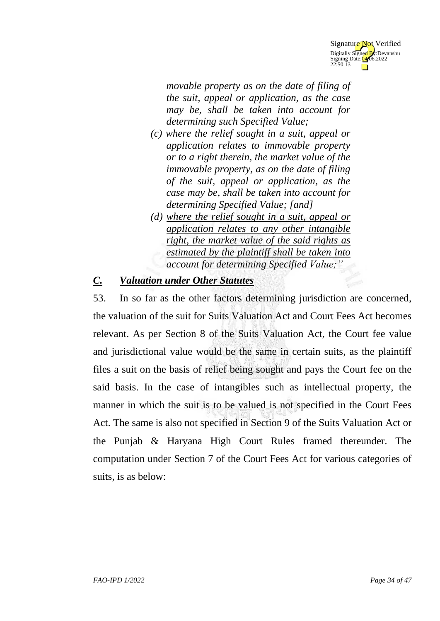

*movable property as on the date of filing of the suit, appeal or application, as the case may be, shall be taken into account for determining such Specified Value;*

- *(c) where the relief sought in a suit, appeal or application relates to immovable property or to a right therein, the market value of the immovable property, as on the date of filing of the suit, appeal or application, as the case may be, shall be taken into account for determining Specified Value; [and]*
- *(d) where the relief sought in a suit, appeal or application relates to any other intangible right, the market value of the said rights as estimated by the plaintiff shall be taken into account for determining Specified Value;"*

## *C. Valuation under Other Statutes*

53. In so far as the other factors determining jurisdiction are concerned, the valuation of the suit for Suits Valuation Act and Court Fees Act becomes relevant. As per Section 8 of the Suits Valuation Act, the Court fee value and jurisdictional value would be the same in certain suits, as the plaintiff files a suit on the basis of relief being sought and pays the Court fee on the said basis. In the case of intangibles such as intellectual property, the manner in which the suit is to be valued is not specified in the Court Fees Act. The same is also not specified in Section 9 of the Suits Valuation Act or the Punjab & Haryana High Court Rules framed thereunder. The computation under Section 7 of the Court Fees Act for various categories of suits, is as below: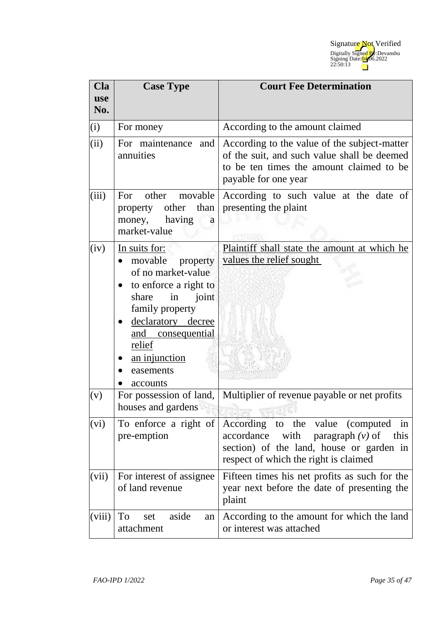

| <b>Cla</b>        | <b>Case Type</b>                                                                                                                                                                                                                                        | <b>Court Fee Determination</b>                                                                                                                                                         |
|-------------------|---------------------------------------------------------------------------------------------------------------------------------------------------------------------------------------------------------------------------------------------------------|----------------------------------------------------------------------------------------------------------------------------------------------------------------------------------------|
| <b>use</b><br>No. |                                                                                                                                                                                                                                                         |                                                                                                                                                                                        |
| (i)               | For money                                                                                                                                                                                                                                               | According to the amount claimed                                                                                                                                                        |
| (ii)              | For maintenance and<br>annuities                                                                                                                                                                                                                        | According to the value of the subject-matter<br>of the suit, and such value shall be deemed<br>to be ten times the amount claimed to be<br>payable for one year                        |
| (iii)             | other movable<br>For<br>property other<br>than<br>money,<br>having<br>a<br>market-value                                                                                                                                                                 | According to such value at the date of<br>presenting the plaint                                                                                                                        |
| (iv)              | In suits for:<br>movable<br>property<br>$\bullet$<br>of no market-value<br>to enforce a right to<br>$\bullet$<br>share<br>joint<br>in<br>family property<br>declaratory decree<br>and consequential<br>relief<br>an injunction<br>easements<br>accounts | Plaintiff shall state the amount at which he<br>values the relief sought                                                                                                               |
| (v)               | houses and gardens                                                                                                                                                                                                                                      | For possession of land,   Multiplier of revenue payable or net profits                                                                                                                 |
| (vi)              | To enforce a right of<br>pre-emption                                                                                                                                                                                                                    | According<br>to the value<br>(computed)<br>in<br>accordance<br>with<br>paragraph $(v)$ of<br>this<br>section) of the land, house or garden in<br>respect of which the right is claimed |
| (vii)             | For interest of assignee<br>of land revenue                                                                                                                                                                                                             | Fifteen times his net profits as such for the<br>year next before the date of presenting the<br>plaint                                                                                 |
| (viii)            | To<br>aside<br>set<br>an<br>attachment                                                                                                                                                                                                                  | According to the amount for which the land<br>or interest was attached                                                                                                                 |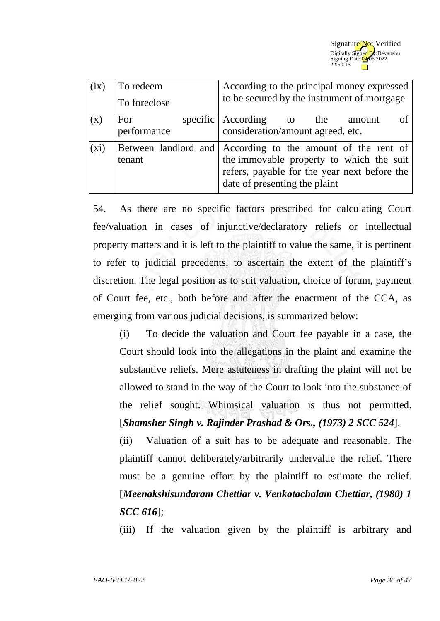

| (ix) | To redeem<br>To foreclose | According to the principal money expressed<br>to be secured by the instrument of mortgage                                                                                                |
|------|---------------------------|------------------------------------------------------------------------------------------------------------------------------------------------------------------------------------------|
| (x)  | For<br>performance        | specific According to the amount<br>consideration/amount agreed, etc.                                                                                                                    |
| (xi) | tenant                    | Between landlord and According to the amount of the rent of<br>the immovable property to which the suit<br>refers, payable for the year next before the<br>date of presenting the plaint |

54. As there are no specific factors prescribed for calculating Court fee/valuation in cases of injunctive/declaratory reliefs or intellectual property matters and it is left to the plaintiff to value the same, it is pertinent to refer to judicial precedents, to ascertain the extent of the plaintiff's discretion. The legal position as to suit valuation, choice of forum, payment of Court fee, etc., both before and after the enactment of the CCA, as emerging from various judicial decisions, is summarized below:

(i) To decide the valuation and Court fee payable in a case, the Court should look into the allegations in the plaint and examine the substantive reliefs. Mere astuteness in drafting the plaint will not be allowed to stand in the way of the Court to look into the substance of the relief sought. Whimsical valuation is thus not permitted. [*Shamsher Singh v. Rajinder Prashad & Ors., (1973) 2 SCC 524*].

(ii) Valuation of a suit has to be adequate and reasonable. The plaintiff cannot deliberately/arbitrarily undervalue the relief. There must be a genuine effort by the plaintiff to estimate the relief. [*Meenakshisundaram Chettiar v. Venkatachalam Chettiar, (1980) 1 SCC 616*];

(iii) If the valuation given by the plaintiff is arbitrary and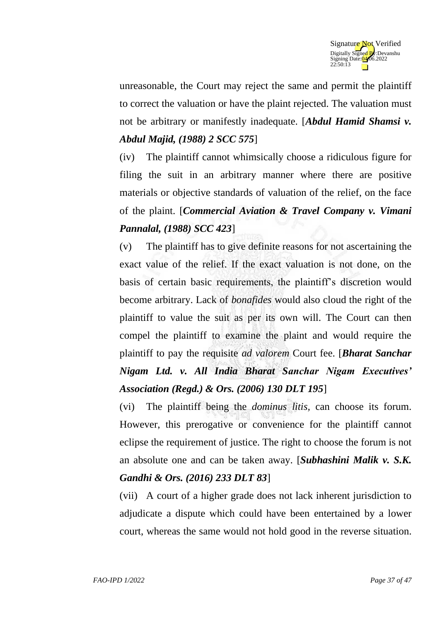

unreasonable, the Court may reject the same and permit the plaintiff to correct the valuation or have the plaint rejected. The valuation must not be arbitrary or manifestly inadequate. [*Abdul Hamid Shamsi v. Abdul Majid, (1988) 2 SCC 575*]

(iv) The plaintiff cannot whimsically choose a ridiculous figure for filing the suit in an arbitrary manner where there are positive materials or objective standards of valuation of the relief, on the face of the plaint. [*Commercial Aviation & Travel Company v. Vimani Pannalal, (1988) SCC 423*]

(v) The plaintiff has to give definite reasons for not ascertaining the exact value of the relief. If the exact valuation is not done, on the basis of certain basic requirements, the plaintiff's discretion would become arbitrary. Lack of *bonafides* would also cloud the right of the plaintiff to value the suit as per its own will. The Court can then compel the plaintiff to examine the plaint and would require the plaintiff to pay the requisite *ad valorem* Court fee. [*Bharat Sanchar Nigam Ltd. v. All India Bharat Sanchar Nigam Executives' Association (Regd.) & Ors. (2006) 130 DLT 195*]

(vi) The plaintiff being the *dominus litis,* can choose its forum. However, this prerogative or convenience for the plaintiff cannot eclipse the requirement of justice. The right to choose the forum is not an absolute one and can be taken away. [*Subhashini Malik v. S.K. Gandhi & Ors. (2016) 233 DLT 83*]

(vii) A court of a higher grade does not lack inherent jurisdiction to adjudicate a dispute which could have been entertained by a lower court, whereas the same would not hold good in the reverse situation.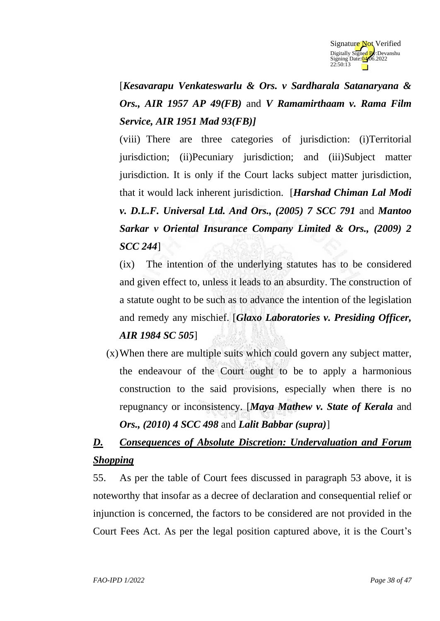

# [*Kesavarapu Venkateswarlu & Ors. v Sardharala Satanaryana & Ors., AIR 1957 AP 49(FB)* and *V Ramamirthaam v. Rama Film Service, AIR 1951 Mad 93(FB)]*

(viii) There are three categories of jurisdiction: (i)Territorial jurisdiction; (ii)Pecuniary jurisdiction; and (iii)Subject matter jurisdiction. It is only if the Court lacks subject matter jurisdiction, that it would lack inherent jurisdiction. [*Harshad Chiman Lal Modi v. D.L.F. Universal Ltd. And Ors., (2005) 7 SCC 791* and *Mantoo Sarkar v Oriental Insurance Company Limited & Ors., (2009) 2 SCC 244*]

(ix) The intention of the underlying statutes has to be considered and given effect to, unless it leads to an absurdity. The construction of a statute ought to be such as to advance the intention of the legislation and remedy any mischief. [*Glaxo Laboratories v. Presiding Officer, AIR 1984 SC 505*]

(x)When there are multiple suits which could govern any subject matter, the endeavour of the Court ought to be to apply a harmonious construction to the said provisions, especially when there is no repugnancy or inconsistency. [*Maya Mathew v. State of Kerala* and *Ors., (2010) 4 SCC 498* and *Lalit Babbar (supra)*]

## *D. Consequences of Absolute Discretion: Undervaluation and Forum Shopping*

55. As per the table of Court fees discussed in paragraph 53 above, it is noteworthy that insofar as a decree of declaration and consequential relief or injunction is concerned, the factors to be considered are not provided in the Court Fees Act. As per the legal position captured above, it is the Court's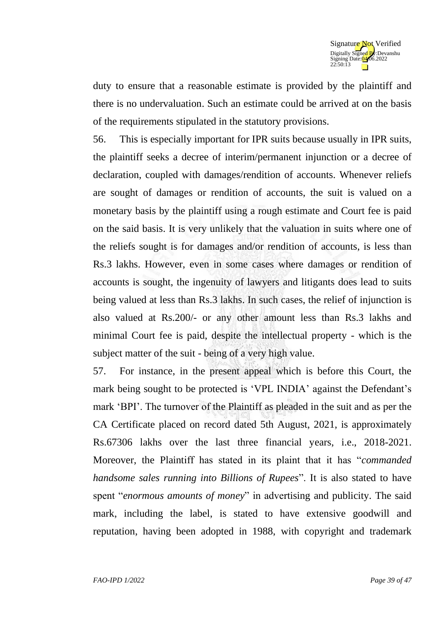

duty to ensure that a reasonable estimate is provided by the plaintiff and there is no undervaluation. Such an estimate could be arrived at on the basis of the requirements stipulated in the statutory provisions.

56. This is especially important for IPR suits because usually in IPR suits, the plaintiff seeks a decree of interim/permanent injunction or a decree of declaration, coupled with damages/rendition of accounts. Whenever reliefs are sought of damages or rendition of accounts, the suit is valued on a monetary basis by the plaintiff using a rough estimate and Court fee is paid on the said basis. It is very unlikely that the valuation in suits where one of the reliefs sought is for damages and/or rendition of accounts, is less than Rs.3 lakhs. However, even in some cases where damages or rendition of accounts is sought, the ingenuity of lawyers and litigants does lead to suits being valued at less than Rs.3 lakhs. In such cases, the relief of injunction is also valued at Rs.200/- or any other amount less than Rs.3 lakhs and minimal Court fee is paid, despite the intellectual property - which is the subject matter of the suit - being of a very high value.

57. For instance, in the present appeal which is before this Court, the mark being sought to be protected is 'VPL INDIA' against the Defendant's mark 'BPI'. The turnover of the Plaintiff as pleaded in the suit and as per the CA Certificate placed on record dated 5th August, 2021, is approximately Rs.67306 lakhs over the last three financial years, i.e., 2018-2021. Moreover, the Plaintiff has stated in its plaint that it has "*commanded handsome sales running into Billions of Rupees*". It is also stated to have spent "*enormous amounts of money*" in advertising and publicity. The said mark, including the label, is stated to have extensive goodwill and reputation, having been adopted in 1988, with copyright and trademark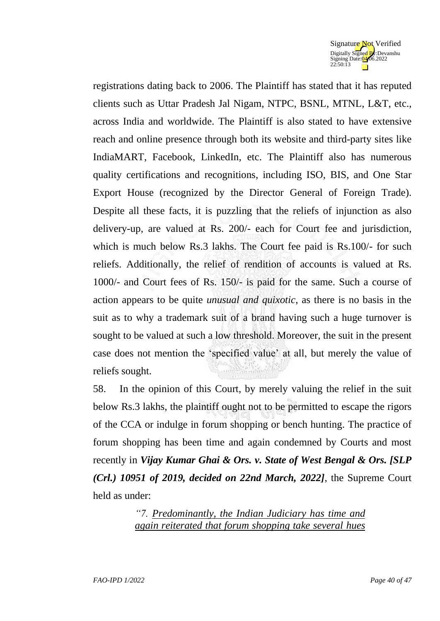

registrations dating back to 2006. The Plaintiff has stated that it has reputed clients such as Uttar Pradesh Jal Nigam, NTPC, BSNL, MTNL, L&T, etc., across India and worldwide. The Plaintiff is also stated to have extensive reach and online presence through both its website and third-party sites like IndiaMART, Facebook, LinkedIn, etc. The Plaintiff also has numerous quality certifications and recognitions, including ISO, BIS, and One Star Export House (recognized by the Director General of Foreign Trade). Despite all these facts, it is puzzling that the reliefs of injunction as also delivery-up, are valued at Rs. 200/- each for Court fee and jurisdiction, which is much below Rs.3 lakhs. The Court fee paid is Rs.100/- for such reliefs. Additionally, the relief of rendition of accounts is valued at Rs. 1000/- and Court fees of Rs. 150/- is paid for the same. Such a course of action appears to be quite *unusual and quixotic*, as there is no basis in the suit as to why a trademark suit of a brand having such a huge turnover is sought to be valued at such a low threshold. Moreover, the suit in the present case does not mention the 'specified value' at all, but merely the value of reliefs sought.

58. In the opinion of this Court, by merely valuing the relief in the suit below Rs.3 lakhs, the plaintiff ought not to be permitted to escape the rigors of the CCA or indulge in forum shopping or bench hunting. The practice of forum shopping has been time and again condemned by Courts and most recently in *Vijay Kumar Ghai & Ors. v. State of West Bengal & Ors. [SLP (Crl.) 10951 of 2019, decided on 22nd March, 2022]*, the Supreme Court held as under:

> *"7. Predominantly, the Indian Judiciary has time and again reiterated that forum shopping take several hues*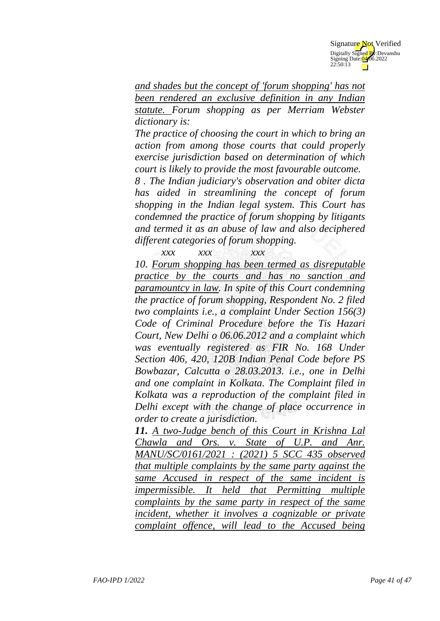

*and shades but the concept of 'forum shopping' has not been rendered an exclusive definition in any Indian statute. Forum shopping as per Merriam Webster dictionary is:* 

*The practice of choosing the court in which to bring an action from among those courts that could properly exercise jurisdiction based on determination of which court is likely to provide the most favourable outcome.* 

*8 . The Indian judiciary's observation and obiter dicta has aided in streamlining the concept of forum shopping in the Indian legal system. This Court has condemned the practice of forum shopping by litigants and termed it as an abuse of law and also deciphered different categories of forum shopping.*

*xxx xxx xxx 10. Forum shopping has been termed as disreputable practice by the courts and has no sanction and paramountcy in law. In spite of this Court condemning the practice of forum shopping, Respondent No. 2 filed two complaints i.e., a complaint Under Section 156(3) Code of Criminal Procedure before the Tis Hazari Court, New Delhi o 06.06.2012 and a complaint which was eventually registered as FIR No. 168 Under Section 406, 420, 120B Indian Penal Code before PS Bowbazar, Calcutta o 28.03.2013. i.e., one in Delhi and one complaint in Kolkata. The Complaint filed in Kolkata was a reproduction of the complaint filed in Delhi except with the change of place occurrence in order to create a jurisdiction.*

*11. A two-Judge bench of this Court in Krishna Lal Chawla and Ors. v. State of U.P. and Anr. MANU/SC/0161/2021 : (2021) 5 SCC 435 observed that multiple complaints by the same party against the same Accused in respect of the same incident is impermissible. It held that Permitting multiple complaints by the same party in respect of the same incident, whether it involves a cognizable or private complaint offence, will lead to the Accused being*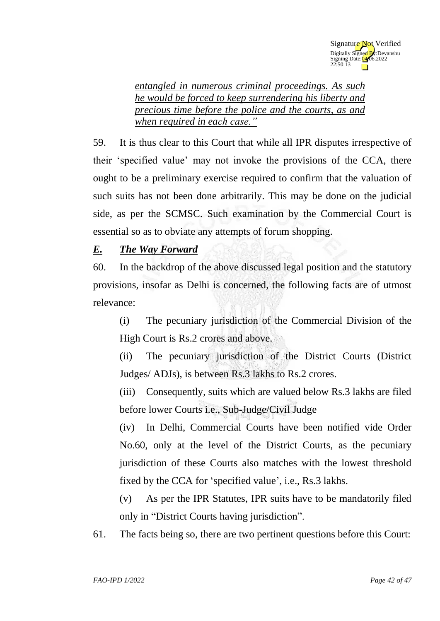

*entangled in numerous criminal proceedings. As such he would be forced to keep surrendering his liberty and precious time before the police and the courts, as and when required in each case."*

59. It is thus clear to this Court that while all IPR disputes irrespective of their 'specified value' may not invoke the provisions of the CCA, there ought to be a preliminary exercise required to confirm that the valuation of such suits has not been done arbitrarily. This may be done on the judicial side, as per the SCMSC. Such examination by the Commercial Court is essential so as to obviate any attempts of forum shopping.

## *E. The Way Forward*

60. In the backdrop of the above discussed legal position and the statutory provisions, insofar as Delhi is concerned, the following facts are of utmost relevance:

(i) The pecuniary jurisdiction of the Commercial Division of the High Court is Rs.2 crores and above.

(ii) The pecuniary jurisdiction of the District Courts (District Judges/ ADJs), is between Rs.3 lakhs to Rs.2 crores.

(iii) Consequently, suits which are valued below Rs.3 lakhs are filed before lower Courts i.e., Sub-Judge/Civil Judge

(iv) In Delhi, Commercial Courts have been notified vide Order No.60, only at the level of the District Courts, as the pecuniary jurisdiction of these Courts also matches with the lowest threshold fixed by the CCA for 'specified value', i.e., Rs.3 lakhs.

(v) As per the IPR Statutes, IPR suits have to be mandatorily filed only in "District Courts having jurisdiction".

61. The facts being so, there are two pertinent questions before this Court: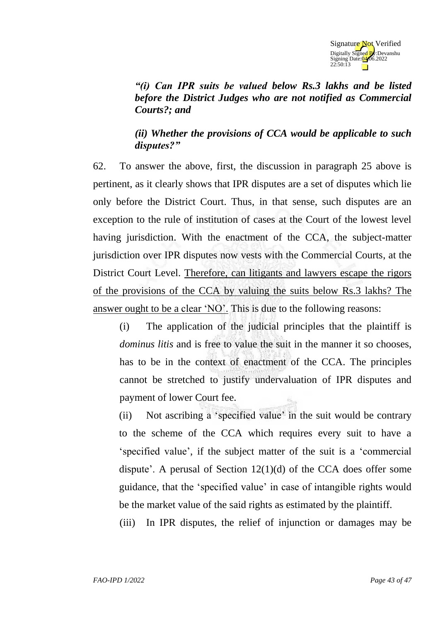

*"(i) Can IPR suits be valued below Rs.3 lakhs and be listed before the District Judges who are not notified as Commercial Courts?; and*

## *(ii) Whether the provisions of CCA would be applicable to such disputes?"*

62. To answer the above, first, the discussion in paragraph 25 above is pertinent, as it clearly shows that IPR disputes are a set of disputes which lie only before the District Court. Thus, in that sense, such disputes are an exception to the rule of institution of cases at the Court of the lowest level having jurisdiction. With the enactment of the CCA, the subject-matter jurisdiction over IPR disputes now vests with the Commercial Courts, at the District Court Level. Therefore, can litigants and lawyers escape the rigors of the provisions of the CCA by valuing the suits below Rs.3 lakhs? The answer ought to be a clear 'NO'. This is due to the following reasons:

(i) The application of the judicial principles that the plaintiff is *dominus litis* and is free to value the suit in the manner it so chooses. has to be in the context of enactment of the CCA. The principles cannot be stretched to justify undervaluation of IPR disputes and payment of lower Court fee.

(ii) Not ascribing a 'specified value' in the suit would be contrary to the scheme of the CCA which requires every suit to have a 'specified value', if the subject matter of the suit is a 'commercial dispute'. A perusal of Section 12(1)(d) of the CCA does offer some guidance, that the 'specified value' in case of intangible rights would be the market value of the said rights as estimated by the plaintiff.

(iii) In IPR disputes, the relief of injunction or damages may be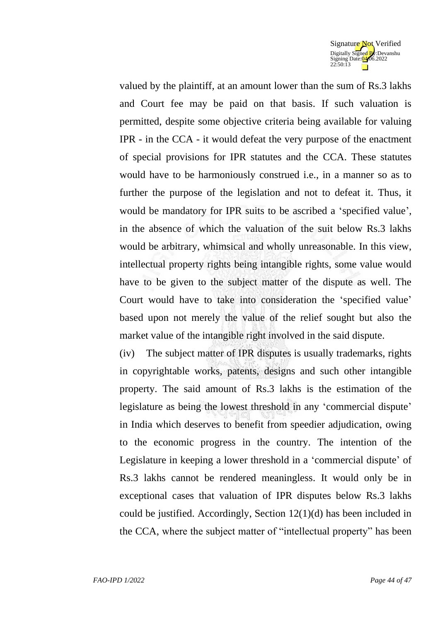

valued by the plaintiff, at an amount lower than the sum of Rs.3 lakhs and Court fee may be paid on that basis. If such valuation is permitted, despite some objective criteria being available for valuing IPR - in the CCA - it would defeat the very purpose of the enactment of special provisions for IPR statutes and the CCA. These statutes would have to be harmoniously construed i.e., in a manner so as to further the purpose of the legislation and not to defeat it. Thus, it would be mandatory for IPR suits to be ascribed a 'specified value', in the absence of which the valuation of the suit below Rs.3 lakhs would be arbitrary, whimsical and wholly unreasonable. In this view, intellectual property rights being intangible rights, some value would have to be given to the subject matter of the dispute as well. The Court would have to take into consideration the 'specified value' based upon not merely the value of the relief sought but also the market value of the intangible right involved in the said dispute.

(iv) The subject matter of IPR disputes is usually trademarks, rights in copyrightable works, patents, designs and such other intangible property. The said amount of Rs.3 lakhs is the estimation of the legislature as being the lowest threshold in any 'commercial dispute' in India which deserves to benefit from speedier adjudication, owing to the economic progress in the country. The intention of the Legislature in keeping a lower threshold in a 'commercial dispute' of Rs.3 lakhs cannot be rendered meaningless. It would only be in exceptional cases that valuation of IPR disputes below Rs.3 lakhs could be justified. Accordingly, Section 12(1)(d) has been included in the CCA, where the subject matter of "intellectual property" has been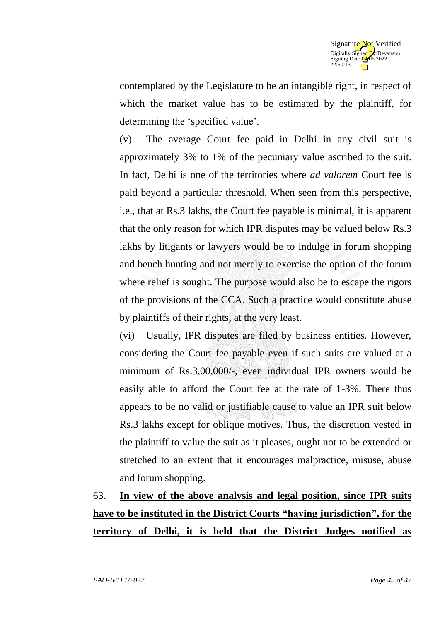

contemplated by the Legislature to be an intangible right, in respect of which the market value has to be estimated by the plaintiff, for determining the 'specified value'.

(v) The average Court fee paid in Delhi in any civil suit is approximately 3% to 1% of the pecuniary value ascribed to the suit. In fact, Delhi is one of the territories where *ad valorem* Court fee is paid beyond a particular threshold. When seen from this perspective, i.e., that at Rs.3 lakhs, the Court fee payable is minimal, it is apparent that the only reason for which IPR disputes may be valued below Rs.3 lakhs by litigants or lawyers would be to indulge in forum shopping and bench hunting and not merely to exercise the option of the forum where relief is sought. The purpose would also be to escape the rigors of the provisions of the CCA. Such a practice would constitute abuse by plaintiffs of their rights, at the very least.

(vi) Usually, IPR disputes are filed by business entities. However, considering the Court fee payable even if such suits are valued at a minimum of Rs.3,00,000/-, even individual IPR owners would be easily able to afford the Court fee at the rate of 1-3%. There thus appears to be no valid or justifiable cause to value an IPR suit below Rs.3 lakhs except for oblique motives. Thus, the discretion vested in the plaintiff to value the suit as it pleases, ought not to be extended or stretched to an extent that it encourages malpractice, misuse, abuse and forum shopping.

# 63. **In view of the above analysis and legal position, since IPR suits have to be instituted in the District Courts "having jurisdiction", for the territory of Delhi, it is held that the District Judges notified as**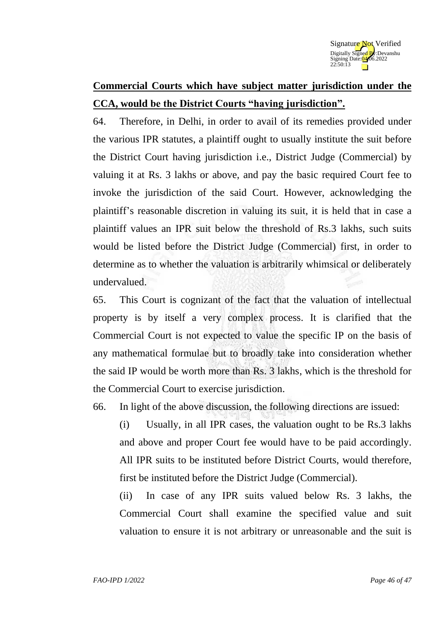

# **Commercial Courts which have subject matter jurisdiction under the CCA, would be the District Courts "having jurisdiction".**

64. Therefore, in Delhi, in order to avail of its remedies provided under the various IPR statutes, a plaintiff ought to usually institute the suit before the District Court having jurisdiction i.e., District Judge (Commercial) by valuing it at Rs. 3 lakhs or above, and pay the basic required Court fee to invoke the jurisdiction of the said Court. However, acknowledging the plaintiff's reasonable discretion in valuing its suit, it is held that in case a plaintiff values an IPR suit below the threshold of Rs.3 lakhs, such suits would be listed before the District Judge (Commercial) first, in order to determine as to whether the valuation is arbitrarily whimsical or deliberately undervalued.

65. This Court is cognizant of the fact that the valuation of intellectual property is by itself a very complex process. It is clarified that the Commercial Court is not expected to value the specific IP on the basis of any mathematical formulae but to broadly take into consideration whether the said IP would be worth more than Rs. 3 lakhs, which is the threshold for the Commercial Court to exercise jurisdiction.

66. In light of the above discussion, the following directions are issued:

(i) Usually, in all IPR cases, the valuation ought to be Rs.3 lakhs and above and proper Court fee would have to be paid accordingly. All IPR suits to be instituted before District Courts, would therefore, first be instituted before the District Judge (Commercial).

(ii) In case of any IPR suits valued below Rs. 3 lakhs, the Commercial Court shall examine the specified value and suit valuation to ensure it is not arbitrary or unreasonable and the suit is